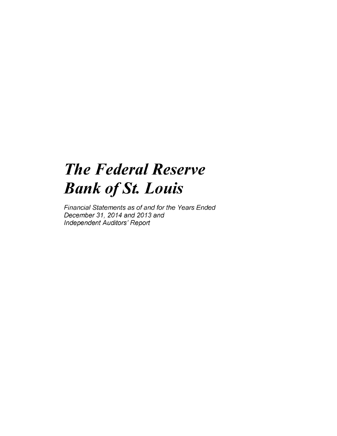## *The Federal Reserve Bank of St. Louis*

*Financial Statements as of and for the Years Ended December 31, 2014 and 2013 and Independent Auditors' Report*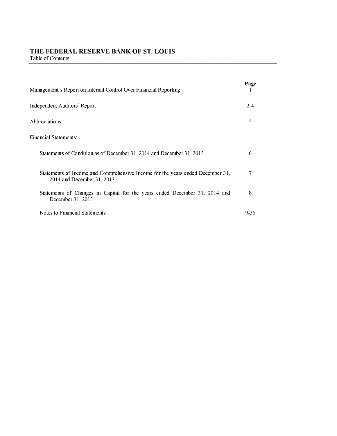## **THE FEDERAL RESERVE BANK OF ST. LOUIS** Table of Contents

| Management's Report on Internal Control Over Financial Reporting                                             | Page |
|--------------------------------------------------------------------------------------------------------------|------|
| <b>Independent Auditors' Report</b>                                                                          | 2-4  |
| Abbreviations                                                                                                | 5    |
| Financial Statements:                                                                                        |      |
| Statements of Condition as of December 31, 2014 and December 31, 2013                                        | 6    |
| Statements of Income and Comprehensive Income for the years ended December 31,<br>2014 and December 31, 2013 | 7    |
| Statements of Changes in Capital for the years ended December 31, 2014 and<br>December 31, 2013              | 8    |
| Notes to Financial Statements                                                                                | 9-36 |

 $\overline{\phantom{a}}$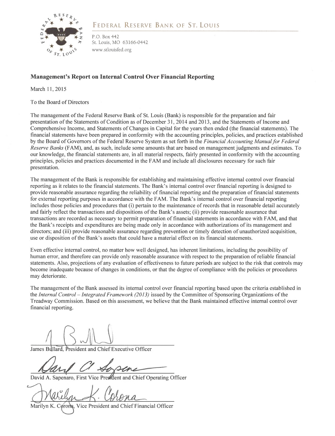

## FEDERAL RESERVE BANK OF ST. LOUIS

P.O. Box 442 St. Louis, MO 63166-0442 www.stlouisfed.org

## **Management's Report on Internal Control Over Financial Reporting**

March 11, 2015

To the Board of Directors

The management of the Federal Reserve Bank of St. Louis (Bank) is responsible for the preparation and fair presentation of the Statements of Condition as of December 31, 2014 and 2013, and the Statements of Income and Comprehensive Income, and Statements of Changes in Capital for the years then ended (the financial statements). The financial statements have been prepared in conformity with the accounting principles, policies, and practices established by the Board of Governors of the Federal Reserve System as set forth in the *Financial Accounting Manual for Federal Reserve Banks* (FAM), and, as such, include some amounts that are based on management judgments and estimates. To our knowledge, the financial statements are, in all material respects, fairly presented in conformity with the accounting principles, policies and practices documented in the FAM and include all disclosures necessary for such fair presentation.

The management of the Bank is responsible for establishing and maintaining effective internal control over financial reporting as it relates to the financial statements. The Bank's internal control over financial reporting is designed to provide reasonable assurance regarding the reliability of financial reporting and the preparation of financial statements for external reporting purposes in accordance with the FAM. The Bank's internal control over financial reporting includes those policies and procedures that (i) pertain to the maintenance of records that in reasonable detail accurately and fairly reflect the transactions and dispositions of the Bank's assets; (ii) provide reasonable assurance that transactions are recorded as necessary to permit preparation of financial statements in accordance with FAM, and that the Bank's receipts and expenditures are being made only in accordance with authorizations of its management and directors; and (iii) provide reasonable assurance regarding prevention or timely detection of unauthorized acquisition, use or disposition of the Bank's assets that could have a material effect on its financial statements.

Even effective internal control, no matter how well designed, has inherent limitations, including the possibility of human error, and therefore can provide only reasonable assurance with respect to the preparation of reliable financial statements. Also, projections of any evaluation of effectiveness to future periods are subject to the risk that controls may become inadequate because of changes in conditions, or that the degree of compliance with the policies or procedures may deteriorate.

The management of the Bank assessed its internal control over financial reporting based upon the criteria established in the *Internal Control - Integrated Framework (2013)* issued by the Committee of Sponsoring Organizations of the Treadway Commission. Based on this assessment, we believe that the Bank maintained effective internal control over financial reporting.

James Bullard, President and Chief Executive Officer

David A. Sapenaro, First Vice President and Chief Operating Officer

Marilyn K. Corona, Vice President and Chief Financial Officer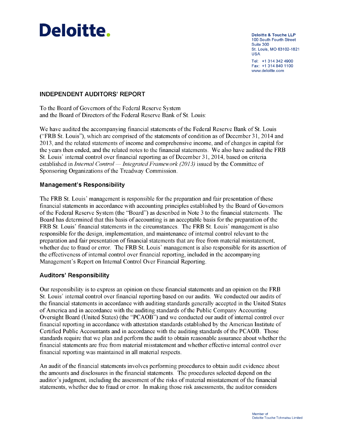# Deloitte. **Deloitte & Touche LLP**

100 South Fourth Street Suite 300 St. Louis, MO 63102-1821 USA Tel: +1 314 342 4900 Fax: +1 314 840 1100 www.deloitte.com

## **INDEPENDENT AUDITORS' REPORT**

To the Board of Governors of the Federal Reserve System and the Board of Directors of the Federal Reserve Bank of St. Louis:

We have audited the accompanying financial statements of the Federal Reserve Bank of St. Louis ("FRB St. Louis"), which are comprised of the statements of condition as of December 31, 2014 and 2013, and the related statements of income and comprehensive income, and of changes in capital for the years then ended, and the related notes to the financial statements. We also have audited the FRB St. Louis' internal control over financial reporting as of December 31, 2014, based on criteria established in *Internal Control* — *Integrated Framework (2013)* issued by the Committee of Sponsoring Organizations of the Treadway Commission.

## **Management's Responsibility**

The FRB St. Louis' management is responsible for the preparation and fair presentation of these financial statements in accordance with accounting principles established by the Board of Governors of the Federal Reserve System (the "Board") as described in Note 3 to the financial statements. The Board has determined that this basis of accounting is an acceptable basis for the preparation of the FRB St. Louis' financial statements in the circumstances. The FRB St. Louis' management is also responsible for the design, implementation, and maintenance of internal control relevant to the preparation and fair presentation of financial statements that are free from material misstatement, whether due to fraud or error. The FRB St. Louis' management is also responsible for its assertion of the effectiveness of internal control over financial reporting, included in the accompanying Management's Report on Internal Control Over Financial Reporting.

## **Auditors' Responsibility**

Our responsibility is to express an opinion on these financial statements and an opinion on the FRB St. Louis' internal control over financial reporting based on our audits. We conducted our audits of the financial statements in accordance with auditing standards generally accepted in the United States of America and in accordance with the auditing standards of the Public Company Accounting Oversight Board (United States) (the "PCAOB") and we conducted our audit of internal control over financial reporting in accordance with attestation standards established by the American Institute of Certified Public Accountants and in accordance with the auditing standards of the PCAOB. Those standards require that we plan and perform the audit to obtain reasonable assurance about whether the financial statements are free from material misstatement and whether effective internal control over financial reporting was maintained in all material respects.

An audit of the financial statements involves performing procedures to obtain audit evidence about the amounts and disclosures in the financial statements. The procedures selected depend on the auditor's judgment, including the assessment of the risks of material misstatement of the financial statements, whether due to fraud or error. In making those risk assessments, the auditor considers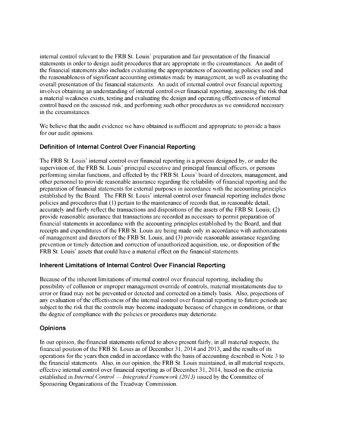internal control relevant to the FRB St. Louis' preparation and fair presentation of the financial statements in order to design audit procedures that are appropriate in the circumstances. An audit of the financial statements also includes evaluating the appropriateness of accounting policies used and the reasonableness of significant accounting estimates made by management, as well as evaluating the overall presentation of the financial statements. An audit of internal control over financial reporting involves obtaining an understanding of internal control over financial reporting, assessing the risk that a material weakness exists, testing and evaluating the design and operating effectiveness of internal control based on the assessed risk, and performing such other procedures as we considered necessary in the circumstances.

We believe that the audit evidence we have obtained is sufficient and appropriate to provide a basis for our audit opinions.

## **Definition of Internal Control Over Financial Reporting**

The FRB St. Louis' internal control over financial reporting is a process designed by, or under the supervision of, the FRB St. Louis' principal executive and principal financial officers, or persons performing similar functions, and effected by the FRB St. Louis' board of directors, management, and other personnel to provide reasonable assurance regarding the reliability of financial reporting and the preparation of financial statements for external purposes in accordance with the accounting principles established by the Board. The FRB St. Louis' internal control over financial reporting includes those policies and procedures that (1) pertain to the maintenance of records that, in reasonable detail, accurately and fairly reflect the transactions and dispositions of the assets of the FRB St. Louis; (2) provide reasonable assurance that transactions are recorded as necessary to permit preparation of financial statements in accordance with the accounting principles established by the Board, and that receipts and expenditures of the FRB St. Louis are being made only in accordance with authorizations of management and directors of the FRB St. Louis; and (3) provide reasonable assurance regarding prevention or timely detection and correction of unauthorized acquisition, use, or disposition of the FRB St. Louis' assets that could have a material effect on the financial statements.

## **Inherent Limitations of Internal Control Over Financial Reporting**

Because of the inherent limitations of internal control over financial reporting, including the possibility of collusion or improper management override of controls, material misstatements due to error or fraud may not be prevented or detected and corrected on a timely basis. Also, projections of any evaluation of the effectiveness of the internal control over financial reporting to future periods are subject to the risk that the controls may become inadequate because of changes in conditions, or that the degree of compliance with the policies or procedures may deteriorate.

## **Opinions**

In our opinion, the financial statements referred to above present fairly, in all material respects, the financial position of the FRB St. Louis as of December 31, 2014 and 2013, and the results of its operations for the years then ended in accordance with the basis of accounting described in Note 3 to the financial statements. Also, in our opinion, the FRB St. Louis maintained, in all material respects, effective internal control over financial reporting as of December 31, 2014, based on the criteria established in *Internal Control* — *Integrated Framework (2013)* issued by the Committee of Sponsoring Organizations of the Treadway Commission.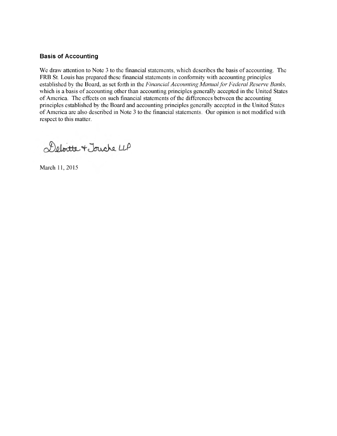### **Basis of Accounting**

We draw attention to Note 3 to the financial statements, which describes the basis of accounting. The FRB St. Louis has prepared these financial statements in conformity with accounting principles established by the Board, as set forth in the *Financial Accounting Manual for Federal Reserve Banks,* which is a basis of accounting other than accounting principles generally accepted in the United States of America. The effects on such financial statements of the differences between the accounting principles established by the Board and accounting principles generally accepted in the United States of America are also described in Note 3 to the financial statements. Our opinion is not modified with respect to this matter.

Deloitte + Jouche LLP

March 11, 2015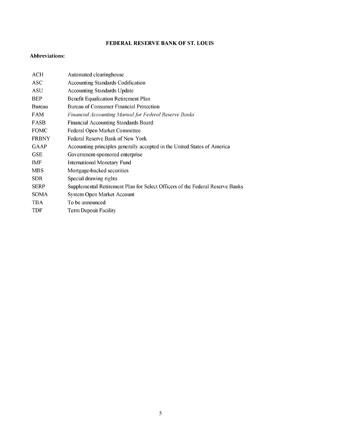## FEDERAL RESERVE BANK OF ST. LOUIS

#### Abbreviations:

| Automated clearinghouse                                                       |
|-------------------------------------------------------------------------------|
| <b>Accounting Standards Codification</b>                                      |
| <b>Accounting Standards Update</b>                                            |
| <b>Benefit Equalization Retirement Plan</b>                                   |
| <b>Bureau of Consumer Financial Protection</b>                                |
| Financial Accounting Manual for Federal Reserve Banks                         |
| <b>Financial Accounting Standards Board</b>                                   |
| <b>Federal Open Market Committee</b>                                          |
| Federal Reserve Bank of New York                                              |
| Accounting principles generally accepted in the United States of America      |
| Government-sponsored enterprise                                               |
| <b>International Monetary Fund</b>                                            |
| Mortgage-backed securities                                                    |
| Special drawing rights                                                        |
| Supplemental Retirement Plan for Select Officers of the Federal Reserve Banks |
| <b>System Open Market Account</b>                                             |
| To be announced                                                               |
| <b>Term Deposit Facility</b>                                                  |
|                                                                               |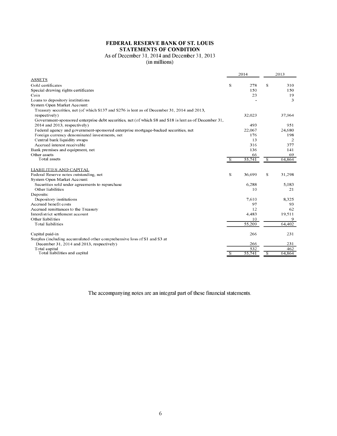#### **FEDERAL RESERVE BANK OF ST. LOUIS STATEMENTS OF CONDITION**

## As of December 31, 2014 and December 31, 2013

(in millions)

|                                                                                                        |                | 2014   | 2013                     |                |  |
|--------------------------------------------------------------------------------------------------------|----------------|--------|--------------------------|----------------|--|
| <b>ASSETS</b>                                                                                          |                |        |                          |                |  |
| Gold certificates                                                                                      | S              | 278    | S                        | 310            |  |
| Special drawing rights certificates                                                                    |                | 150    |                          | 150            |  |
| Coin                                                                                                   |                | 23     |                          | 19             |  |
| Loans to depository institutions                                                                       |                |        |                          | 3              |  |
| System Open Market Account:                                                                            |                |        |                          |                |  |
| Treasury securities, net (of which \$137 and \$276 is lent as of December 31, 2014 and 2013,           |                |        |                          |                |  |
| respectively)                                                                                          |                | 32,023 |                          | 37,964         |  |
| Government-sponsored enterprise debt securities, net (of which \$8 and \$18 is lent as of December 31, |                |        |                          |                |  |
| 2014 and 2013, respectively)                                                                           |                | 493    |                          | 951            |  |
| Federal agency and government-sponsored enterprise mortgage-backed securities, net                     |                | 22,067 |                          | 24,680         |  |
| Foreign currency denominated investments, net                                                          |                | 176    |                          | 198            |  |
| Central bank liquidity swaps                                                                           |                | 13     |                          | $\overline{2}$ |  |
| Accrued interest receivable                                                                            |                | 316    |                          | 377            |  |
| Bank premises and equipment, net                                                                       |                | 136    |                          | 141            |  |
| Other assets                                                                                           |                | 66     |                          | 69             |  |
| Total assets                                                                                           | $\overline{s}$ | 55,741 | $\overline{\mathcal{S}}$ | 64,864         |  |
| LIABILITIES AND CAPITAL                                                                                |                |        |                          |                |  |
| Federal Reserve notes outstanding, net                                                                 | s              | 36,699 | \$                       | 31,298         |  |
| System Open Market Account:                                                                            |                |        |                          |                |  |
| Securities sold under agreements to repurchase                                                         |                | 6,288  |                          | 5,083          |  |
| Other liabilities                                                                                      |                | 10     |                          | 21             |  |
| Deposits:                                                                                              |                |        |                          |                |  |
| Depository institutions                                                                                |                | 7,610  |                          | 8,325          |  |
| Accrued benefit costs                                                                                  |                | 97     |                          | 93             |  |
| Accrued remittances to the Treasury                                                                    |                | 12     |                          | 62             |  |
| Interdistrict settlement account                                                                       |                | 4,483  |                          | 19,511         |  |
| Other liabilities                                                                                      |                | 10     |                          | 9              |  |
| <b>Total liabilities</b>                                                                               |                | 55,209 |                          | 64,402         |  |
| Capital paid-in                                                                                        |                | 266    |                          | 231            |  |
| Surplus (including accumulated other comprehensive loss of \$1 and \$3 at                              |                |        |                          |                |  |
| December 31, 2014 and 2013, respectively)                                                              |                | 266    |                          | 231            |  |
| Total capital                                                                                          |                | 532    |                          | 462            |  |
| Total liabilities and capital                                                                          | S              | 55,741 | $\overline{s}$           | 64,864         |  |
|                                                                                                        |                |        |                          |                |  |

The accompanying notes are an integral part of these financial statements.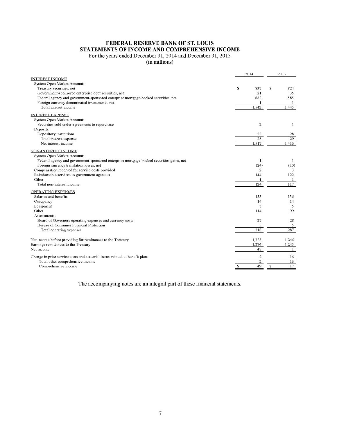## **FEDERAL RESERVE BANK OF ST. LOUIS STATEMENTS OF INCOME AND COMPREHENSIVE INCOME**

For the years ended December 31, 2014 and December 31, 2013

(in millions)

|                                                                                          | 2014                | 2013               |  |  |
|------------------------------------------------------------------------------------------|---------------------|--------------------|--|--|
| <b>INTEREST INCOME</b>                                                                   |                     |                    |  |  |
| System Open Market Account:                                                              |                     |                    |  |  |
| Treasury securities, net                                                                 | \$<br>837           | \$<br>824          |  |  |
| Government-sponsored enterprise debt securities, net                                     | 21                  | 35                 |  |  |
| Federal agency and government-sponsored enterprise mortgage-backed securities, net       | 683                 | 585                |  |  |
| Foreign currency denominated investments, net                                            |                     | -1                 |  |  |
| Total interest income                                                                    | 1.542               | 1,445              |  |  |
| <b>INTEREST EXPENSE</b>                                                                  |                     |                    |  |  |
| System Open Market Account:                                                              |                     |                    |  |  |
| Securities sold under agreements to repurchase                                           | $\overline{c}$      | 1                  |  |  |
| Deposits:                                                                                |                     |                    |  |  |
| Depository institutions                                                                  | 23                  | 28                 |  |  |
| Total interest expense                                                                   | 25                  | 29                 |  |  |
| Net interest income                                                                      | 1.517               | 1,416              |  |  |
| NON-INTEREST INCOME                                                                      |                     |                    |  |  |
| System Open Market Account:                                                              |                     |                    |  |  |
| Federal agency and government-sponsored enterprise mortgage-backed securities gains, net | 1                   | 1                  |  |  |
| Foreign currency translation losses, net                                                 | (24)                | (10)               |  |  |
| Compensation received for service costs provided                                         | $\overline{2}$      | 3                  |  |  |
| Reimbursable services to government agencies                                             | 144                 | 122                |  |  |
| Other                                                                                    |                     | -1                 |  |  |
| Total non-interest income                                                                | 124                 | 117                |  |  |
| <b>OPERATING EXPENSES</b>                                                                |                     |                    |  |  |
| Salaries and benefits                                                                    | 153                 | 136                |  |  |
| Occupancy                                                                                | 14                  | 14                 |  |  |
| Equipment                                                                                | 5                   | 5                  |  |  |
| Other                                                                                    | 114                 | 99                 |  |  |
| Assessments:                                                                             |                     |                    |  |  |
| Board of Governors operating expenses and currency costs                                 | 27                  | 28                 |  |  |
| <b>Bureau of Consumer Financial Protection</b>                                           | 5                   | 5                  |  |  |
| Total operating expenses                                                                 | 318                 | 287                |  |  |
| Net income before providing for remittances to the Treasury                              | 1,323               | 1,246              |  |  |
| Earnings remittances to the Treasury                                                     | 1,276               | 1,245              |  |  |
| Net income                                                                               | 47                  | 1                  |  |  |
| Change in prior service costs and actuarial losses related to benefit plans              | 2                   | 16                 |  |  |
| Total other comprehensive income                                                         | $\overline{2}$      | 16                 |  |  |
| Comprehensive income                                                                     | 49<br><sup>\$</sup> | $\mathbb{S}$<br>17 |  |  |
|                                                                                          |                     |                    |  |  |

The accompanying notes are an integral part of these financial statements.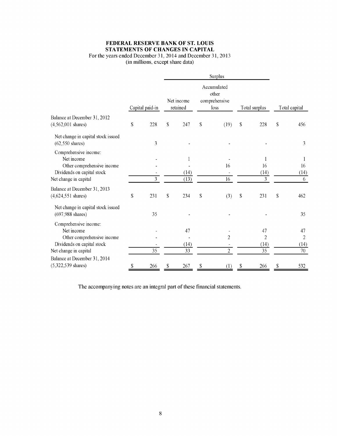## **FEDERAL RESERVE BANK OF ST. LOUIS STATEMENTS OF CHANGES IN CAPITAL**

## For the years ended December 31, 2014 and December 31, 2013

(in millions, except share data)

|                                                                                                                          | <b>Surplus</b>  |    |                        |              |                                               |    |                                                 |             |                                    |  |  |
|--------------------------------------------------------------------------------------------------------------------------|-----------------|----|------------------------|--------------|-----------------------------------------------|----|-------------------------------------------------|-------------|------------------------------------|--|--|
|                                                                                                                          | Capital paid-in |    | Net income<br>retained |              | Accumulated<br>other<br>comprehensive<br>loss |    | Total surplus                                   |             | Total capital                      |  |  |
| Balance at December 31, 2012<br>$(4,562,001 \text{ shares})$                                                             | \$<br>228       | \$ | 247                    | $\mathbb{S}$ | (19)                                          | \$ | 228                                             | \$          | 456                                |  |  |
| Net change in capital stock issued<br>$(62,550 \text{ shares})$                                                          | 3               |    |                        |              |                                               |    |                                                 |             | 3                                  |  |  |
| Comprehensive income:<br>Net income<br>Other comprehensive income<br>Dividends on capital stock<br>Net change in capital | 3               |    | 1<br>(14)<br>(13)      |              | 16<br>16                                      |    | 1<br>16<br>(14)<br>3                            |             | 1<br>16<br>(14)<br>6               |  |  |
| Balance at December 31, 2013<br>$(4,624,551 \text{ shares})$                                                             | \$<br>231       | \$ | 234                    | \$           | (3)                                           | \$ | 231                                             | $\mathbb S$ | 462                                |  |  |
| Net change in capital stock issued<br>$(697,988 \text{ shares})$                                                         | 35              |    |                        |              |                                               |    |                                                 |             | 35                                 |  |  |
| Comprehensive income:<br>Net income<br>Other comprehensive income<br>Dividends on capital stock<br>Net change in capital | $\overline{35}$ |    | 47<br>(14)<br>33       |              | $\overline{2}$<br>$\overline{2}$              |    | 47<br>$\overline{2}$<br>(14)<br>$\overline{35}$ |             | 47<br>$\overline{2}$<br>(14)<br>70 |  |  |
| Balance at December 31, 2014<br>$(5,322,539 \text{ shares})$                                                             | \$<br>266       | \$ | 267                    | \$           | (1)                                           | \$ | 266                                             | \$          | 532                                |  |  |

The accompanying notes are an integral part of these financial statements.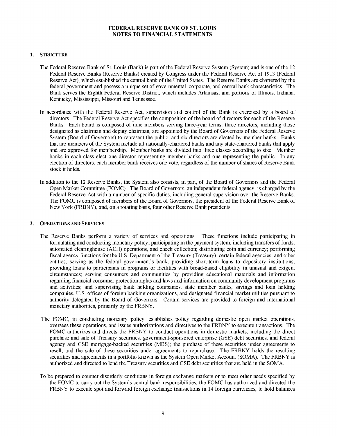#### **1. STRUCTURE**

- The Federal Reserve Bank of St. Louis (Bank) is part of the Federal Reserve System (System) and is one of the 12 Federal Reserve Banks (Reserve Banks) created by Congress under the Federal Reserve Act of 1913 (Federal Reserve Act), which established the central bank of the United States. The Reserve Banks are chartered by the federal government and possess a unique set of governmental, corporate, and central bank characteristics. The Bank serves the Eighth Federal Reserve District, which includes Arkansas, and portions of Illinois, Indiana, Kentucky, Mississippi, Missouri and Tennessee.
- In accordance with the Federal Reserve Act, supervision and control of the Bank is exercised by a board of directors. The Federal Reserve Act specifies the composition of the board of directors for each of the Reserve Banks. Each board is composed of nine members serving three-year terms: three directors, including those designated as chairman and deputy chairman, are appointed by the Board of Governors of the Federal Reserve System (Board of Governors) to represent the public, and six directors are elected by member banks. Banks that are members of the System include all nationally-chartered banks and any state-chartered banks that apply and are approved for membership. Member banks are divided into three classes according to size. Member banks in each class elect one director representing member banks and one representing the public. In any election of directors, each member bank receives one vote, regardless of the number of shares of Reserve Bank stock it holds.
- In addition to the 12 Reserve Banks, the System also consists, in part, of the Board of Governors and the Federal Open Market Committee (FOMC). The Board of Governors, an independent federal agency, is charged by the Federal Reserve Act with a number of specific duties, including general supervision over the Reserve Banks. The FOMC is composed of members of the Board of Governors, the president of the Federal Reserve Bank of New York (FRBNY), and, on a rotating basis, four other Reserve Bank presidents.

#### 2. OPERATIONS AND **SERVICES**

- The Reserve Banks perform a variety of services and operations. These functions include participating in formulating and conducting monetary policy; participating in the payment system, including transfers of funds, automated clearinghouse (ACH) operations, and check collection; distributing coin and currency; performing fiscal agency functions for the U.S. Department of the Treasury (Treasury), certain federal agencies, and other entities; serving as the federal government's bank; providing short-term loans to depository institutions; providing loans to participants in programs or facilities with broad-based eligibility in unusual and exigent circumstances; serving consumers and communities by providing educational materials and information regarding financial consumer protection rights and laws and information on community development programs and activities; and supervising bank holding companies, state member banks, savings and loan holding companies, U.S. offices of foreign banking organizations, and designated financial market utilities pursuant to authority delegated by the Board of Governors. Certain services are provided to foreign and international monetary authorities, primarily by the FRBNY.
- The FOMC, in conducting monetary policy, establishes policy regarding domestic open market operations, oversees these operations, and issues authorizations and directives to the FRBNY to execute transactions. The FOMC authorizes and directs the FRBNY to conduct operations in domestic markets, including the direct purchase and sale of Treasury securities, government-sponsored enterprise (GSE) debt securities, and federal agency and GSE mortgage-backed securities (MBS); the purchase of these securities under agreements to resell; and the sale of these securities under agreements to repurchase. The FRBNY holds the resulting securities and agreements in a portfolio known as the System Open Market Account (SOMA). The FRBNY is authorized and directed to lend the Treasury securities and GSE debt securities that are held in the SOMA.
- To be prepared to counter disorderly conditions in foreign exchange markets or to meet other needs specified by the FOMC to carry out the System's central bank responsibilities, the FOMC has authorized and directed the FRBNY to execute spot and forward foreign exchange transactions in 14 foreign currencies, to hold balances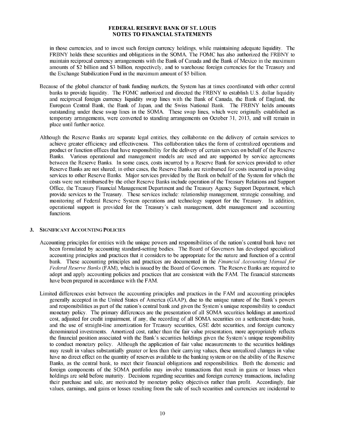in those currencies, and to invest such foreign currency holdings, while maintaining adequate liquidity. The FRBNY holds these securities and obligations in the SOMA. The FOMC has also authorized the FRBNY to maintain reciprocal currency arrangements with the Bank of Canada and the Bank of Mexico in the maximum amounts of \$2 billion and \$3 billion, respectively, and to warehouse foreign currencies for the Treasury and the Exchange Stabilization Fund in the maximum amount of \$5 billion.

- Because of the global character of bank funding markets, the System has at times coordinated with other central banks to provide liquidity. The FOMC authorized and directed the FRBNY to establish U.S. dollar liquidity and reciprocal foreign currency liquidity swap lines with the Bank of Canada, the Bank of England, the European Central Bank, the Bank of Japan, and the Swiss National Bank. The FRBNY holds amounts outstanding under these swap lines in the SOMA. These swap lines, which were originally established as temporary arrangements, were converted to standing arrangements on October 31, 2013, and will remain in place until further notice.
- Although the Reserve Banks are separate legal entities, they collaborate on the delivery of certain services to achieve greater efficiency and effectiveness. This collaboration takes the form of centralized operations and product or function offices that have responsibility for the delivery of certain services on behalf of the Reserve Banks. Various operational and management models are used and are supported by service agreements between the Reserve Banks. In some cases, costs incurred by a Reserve Bank for services provided to other Reserve Banks are not shared; in other cases, the Reserve Banks are reimbursed for costs incurred in providing services to other Reserve Banks. Major services provided by the Bank on behalf of the System for which the costs were not reimbursed by the other Reserve Banks include operation of the Treasury Relations and Support Office, the Treasury Financial Management Department and the Treasury Agency Support Department, which provide services to the Treasury. These services include: relationship management, strategic consulting, and monitoring of Federal Reserve System operations and technology support for the Treasury. In addition, operational support is provided for the Treasury's cash management, debt management and accounting functions.

#### 3. SIGNIFICANT ACCOUNTING POLICIES

- Accounting principles for entities with the unique powers and responsibilities of the nation's central bank have not been formulated by accounting standard-setting bodies. The Board of Governors has developed specialized accounting principles and practices that it considers to be appropriate for the nature and function of a central bank. These accounting principles and practices are documented in the *Financial Accounting Manual for Federal Reserve Banks* (FAM), which is issued by the Board of Governors. The Reserve Banks are required to adopt and apply accounting policies and practices that are consistent with the FAM. The financial statements have been prepared in accordance with the FAM.
- Limited differences exist between the accounting principles and practices in the FAM and accounting principles generally accepted in the United States of America (GAAP), due to the unique nature of the Bank's powers and responsibilities as part of the nation's central bank and given the System's unique responsibility to conduct monetary policy. The primary differences are the presentation of all SOMA securities holdings at amortized cost, adjusted for credit impairment, if any, the recording of all SOMA securities on a settlement-date basis, and the use of straight-line amortization for Treasury securities, GSE debt securities, and foreign currency denominated investments. Amortized cost, rather than the fair value presentation, more appropriately reflects the financial position associated with the Bank's securities holdings given the System's unique responsibility to conduct monetary policy. Although the application of fair value measurements to the securities holdings may result in values substantially greater or less than their carrying values, these unrealized changes in value have no direct effect on the quantity of reserves available to the banking system or on the ability of the Reserve Banks, as the central bank, to meet their financial obligations and responsibilities. Both the domestic and foreign components of the SOMA portfolio may involve transactions that result in gains or losses when holdings are sold before maturity. Decisions regarding securities and foreign currency transactions, including their purchase and sale, are motivated by monetary policy objectives rather than profit. Accordingly, fair values, earnings, and gains or losses resulting from the sale of such securities and currencies are incidental to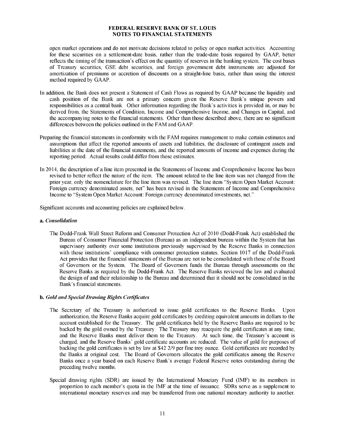open market operations and do not motivate decisions related to policy or open market activities. Accounting for these securities on a settlement-date basis, rather than the trade-date basis required by GAAP, better reflects the timing of the transaction's effect on the quantity of reserves in the banking system. The cost bases of Treasury securities, GSE debt securities, and foreign government debt instruments are adjusted for amortization of premiums or accretion of discounts on a straight-line basis, rather than using the interest method required by GAAP.

- In addition, the Bank does not present a Statement of Cash Flows as required by GAAP because the liquidity and cash position of the Bank are not a primary concern given the Reserve Bank's unique powers and responsibilities as a central bank. Other information regarding the Bank's activities is provided in, or may be derived from, the Statements of Condition, Income and Comprehensive Income, and Changes in Capital, and the accompanying notes to the financial statements. Other than those described above, there are no significant differences between the policies outlined in the FAM and GAAP.
- Preparing the financial statements in conformity with the FAM requires management to make certain estimates and assumptions that affect the reported amounts of assets and liabilities, the disclosure of contingent assets and liabilities at the date of the financial statements, and the reported amounts of income and expenses during the reporting period. Actual results could differ from those estimates.
- In 2014, the description of a line item presented in the Statements of Income and Comprehensive Income has been revised to better reflect the nature of the item. The amount related to the line item was not changed from the prior year, only the nomenclature for the line item was revised. The line item "System Open Market Account: Foreign currency denominated assets, net" has been revised in the Statements of Income and Comprehensive Income to "System Open Market Account: Foreign currency denominated investments, net."

Significant accounts and accounting policies are explained below.

#### a. *Consolidation*

The Dodd-Frank Wall Street Reform and Consumer Protection Act of 2010 (Dodd-Frank Act) established the Bureau of Consumer Financial Protection (Bureau) as an independent bureau within the System that has supervisory authority over some institutions previously supervised by the Reserve Banks in connection with those institutions' compliance with consumer protection statutes. Section 1017 of the Dodd-Frank Act provides that the financial statements of the Bureau are not to be consolidated with those of the Board of Governors or the System. The Board of Governors funds the Bureau through assessments on the Reserve Banks as required by the Dodd-Frank Act. The Reserve Banks reviewed the law and evaluated the design of and their relationship to the Bureau and determined that it should not be consolidated in the Bank's financial statements.

#### b. *Gold and Special Drawing Rights Certificates*

- The Secretary of the Treasury is authorized to issue gold certificates to the Reserve Banks. Upon authorization, the Reserve Banks acquire gold certificates by crediting equivalent amounts in dollars to the account established for the Treasury. The gold certificates held by the Reserve Banks are required to be backed by the gold owned by the Treasury. The Treasury may reacquire the gold certificates at any time, and the Reserve Banks must deliver them to the Treasury. At such time, the Treasury's account is charged, and the Reserve Banks' gold certificate accounts are reduced. The value of gold for purposes of backing the gold certificates is set by law at \$42 2/9 per fine troy ounce. Gold certificates are recorded by the Banks at original cost. The Board of Governors allocates the gold certificates among the Reserve Banks once a year based on each Reserve Bank's average Federal Reserve notes outstanding during the preceding twelve months.
- Special drawing rights (SDR) are issued by the International Monetary Fund (IMF) to its members in proportion to each member's quota in the IMF at the time of issuance. SDRs serve as a supplement to international monetary reserves and may be transferred from one national monetary authority to another.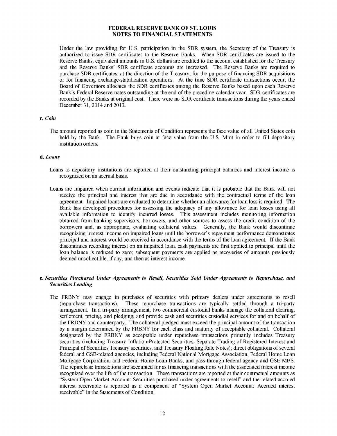Under the law providing for U.S. participation in the SDR system, the Secretary of the Treasury is authorized to issue SDR certificates to the Reserve Banks. When SDR certificates are issued to the Reserve Banks, equivalent amounts in U.S. dollars are credited to the account established for the Treasury and the Reserve Banks' SDR certificate accounts are increased. The Reserve Banks are required to purchase SDR certificates, at the direction of the Treasury, for the purpose of financing SDR acquisitions or for financing exchange-stabilization operations. At the time SDR certificate transactions occur, the Board of Governors allocates the SDR certificates among the Reserve Banks based upon each Reserve Bank's Federal Reserve notes outstanding at the end of the preceding calendar year. SDR certificates are recorded by the Banks at original cost. There were no SDR certificate transactions during the years ended December 31, 2014 and 2013.

#### c. *Coin*

The amount reported as coin in the Statements of Condition represents the face value of all United States coin held by the Bank. The Bank buys coin at face value from the U.S. Mint in order to fill depository institution orders.

#### d. *Loans*

- Loans to depository institutions are reported at their outstanding principal balances and interest income is recognized on an accrual basis.
- Loans are impaired when current information and events indicate that it is probable that the Bank will not receive the principal and interest that are due in accordance with the contractual terms of the loan agreement. Impaired loans are evaluated to determine whether an allowance for loan loss is required. The Bank has developed procedures for assessing the adequacy of any allowance for loan losses using all available information to identify incurred losses. This assessment includes monitoring information obtained from banking supervisors, borrowers, and other sources to assess the credit condition of the borrowers and, as appropriate, evaluating collateral values. Generally, the Bank would discontinue recognizing interest income on impaired loans until the borrower's repayment performance demonstrates principal and interest would be received in accordance with the terms of the loan agreement. If the Bank discontinues recording interest on an impaired loan, cash payments are first applied to principal until the loan balance is reduced to zero; subsequent payments are applied as recoveries of amounts previously deemed uncollectible, if any, and then as interest income.

#### e. *Securities Purchased Under Agreements to Resell, Securities Sold Under Agreements to Repurchase, and Securities Lending*

The FRBNY may engage in purchases of securities with primary dealers under agreements to resell (repurchase transactions). These repurchase transactions are typically settled through a tri-party arrangement. In a tri-party arrangement, two commercial custodial banks manage the collateral clearing, settlement, pricing, and pledging, and provide cash and securities custodial services for and on behalf of the FRBNY and counterparty. The collateral pledged must exceed the principal amount of the transaction by a margin determined by the FRBNY for each class and maturity of acceptable collateral. Collateral designated by the FRBNY as acceptable under repurchase transactions primarily includes Treasury securities (including Treasury Inflation-Protected Securities, Separate Trading of Registered Interest and Principal of Securities Treasury securities, and Treasury Floating Rate Notes); direct obligations of several federal and GSE-related agencies, including Federal National Mortgage Association, Federal Home Loan Mortgage Corporation, and Federal Home Loan Banks; and pass-through federal agency and GSE MBS. The repurchase transactions are accounted for as financing transactions with the associated interest income recognized over the life of the transaction. These transactions are reported at their contractual amounts as "System Open Market Account: Securities purchased under agreements to resell" and the related accrued interest receivable is reported as a component of "System Open Market Account: Accrued interest receivable" in the Statements of Condition.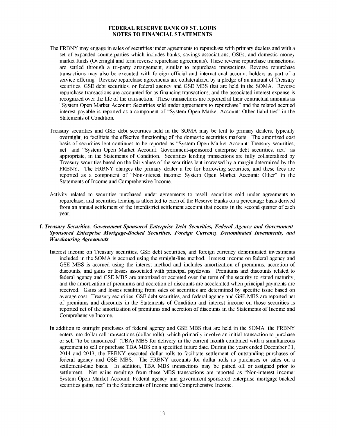- The FRBNY may engage in sales of securities under agreements to repurchase with primary dealers and with a set of expanded counterparties which includes banks, savings associations, GSEs, and domestic money market funds (Overnight and term reverse repurchase agreements). These reverse repurchase transactions, are settled through a tri-party arrangement, similar to repurchase transactions. Reverse repurchase transactions may also be executed with foreign official and international account holders as part of a service offering. Reverse repurchase agreements are collateralized by a pledge of an amount of Treasury securities, GSE debt securities, or federal agency and GSE MBS that are held in the SOMA. Reverse repurchase transactions are accounted for as financing transactions, and the associated interest expense is recognized over the life of the transaction. These transactions are reported at their contractual amounts as "System Open Market Account: Securities sold under agreements to repurchase" and the related accrued interest payable is reported as a component of "System Open Market Account: Other liabilities" in the Statements of Condition.
- Treasury securities and GSE debt securities held in the SOMA may be lent to primary dealers, typically overnight, to facilitate the effective functioning of the domestic securities markets. The amortized cost basis of securities lent continues to be reported as "System Open Market Account: Treasury securities, net" and "System Open Market Account: Government-sponsored enterprise debt securities, net," as appropriate, in the Statements of Condition. Securities lending transactions are fully collateralized by Treasury securities based on the fair values of the securities lent increased by a margin determined by the FRBNY. The FRBNY charges the primary dealer a fee for borrowing securities, and these fees are reported as a component of "Non-interest income: System Open Market Account: Other" in the Statements of Income and Comprehensive Income.
- Activity related to securities purchased under agreements to resell, securities sold under agreements to repurchase, and securities lending is allocated to each of the Reserve Banks on a percentage basis derived from an annual settlement of the interdistrict settlement account that occurs in the second quarter of each year.

#### f. *Treasury Securities, Government-Sponsored Enterprise Debt Securities, Federal Agency and Government-Sponsored Enterprise Mortgage-Backed Securities, Foreign Currency Denominated Investments, and Warehousing Agreements*

- Interest income on Treasury securities, GSE debt securities, and foreign currency denominated investments included in the SOMA is accrued using the straight-line method. Interest income on federal agency and GSE MBS is accrued using the interest method and includes amortization of premiums, accretion of discounts, and gains or losses associated with principal paydowns. Premiums and discounts related to federal agency and GSE MBS are amortized or accreted over the term of the security to stated maturity, and the amortization of premiums and accretion of discounts are accelerated when principal payments are received. Gains and losses resulting from sales of securities are determined by specific issue based on average cost. Treasury securities, GSE debt securities, and federal agency and GSE MBS are reported net of premiums and discounts in the Statements of Condition and interest income on those securities is reported net of the amortization of premiums and accretion of discounts in the Statements of Income and Comprehensive Income.
- In addition to outright purchases of federal agency and GSE MBS that are held in the SOMA, the FRBNY enters into dollar roll transactions (dollar rolls), which primarily involve an initial transaction to purchase or sell "to be announced" (TBA) MBS for delivery in the current month combined with a simultaneous agreement to sell or purchase TBA MBS on a specified future date. During the years ended December 31, 2014 and 2013, the FRBNY executed dollar rolls to facilitate settlement of outstanding purchases of federal agency and GSE MBS. The FRBNY accounts for dollar rolls as purchases or sales on a settlement-date basis. In addition, TBA MBS transactions may be paired off or assigned prior to settlement. Net gains resulting from these MBS transactions are reported as "Non-interest income: System Open Market Account: Federal agency and government-sponsored enterprise mortgage-backed securities gains, net" in the Statements of Income and Comprehensive Income.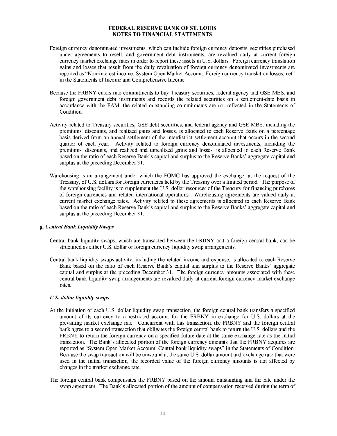- Foreign currency denominated investments, which can include foreign currency deposits, securities purchased under agreements to resell, and government debt instruments, are revalued daily at current foreign currency market exchange rates in order to report these assets in U.S. dollars. Foreign currency translation gains and losses that result from the daily revaluation of foreign currency denominated investments are reported as "Non-interest income: System Open Market Account: Foreign currency translation losses, net" in the Statements of Income and Comprehensive Income.
- Because the FRBNY enters into commitments to buy Treasury securities, federal agency and GSE MBS, and foreign government debt instruments and records the related securities on a settlement-date basis in accordance with the FAM, the related outstanding commitments are not reflected in the Statements of Condition.
- Activity related to Treasury securities, GSE debt securities, and federal agency and GSE MBS, including the premiums, discounts, and realized gains and losses, is allocated to each Reserve Bank on a percentage basis derived from an annual settlement of the interdistrict settlement account that occurs in the second quarter of each year. Activity related to foreign currency denominated investments, including the premiums, discounts, and realized and unrealized gains and losses, is allocated to each Reserve Bank based on the ratio of each Reserve Bank's capital and surplus to the Reserve Banks' aggregate capital and surplus at the preceding December 31.
- Warehousing is an arrangement under which the FOMC has approved the exchange, at the request of the Treasury, of U.S. dollars for foreign currencies held by the Treasury over a limited period. The purpose of the warehousing facility is to supplement the U.S. dollar resources of the Treasury for financing purchases of foreign currencies and related international operations. Warehousing agreements are valued daily at current market exchange rates. Activity related to these agreements is allocated to each Reserve Bank based on the ratio of each Reserve Bank's capital and surplus to the Reserve Banks' aggregate capital and surplus at the preceding December 31.

#### g. *Central Bank Liquidity Swaps*

- Central bank liquidity swaps, which are transacted between the FRBNY and a foreign central bank, can be structured as either U.S. dollar or foreign currency liquidity swap arrangements.
- Central bank liquidity swaps activity, including the related income and expense, is allocated to each Reserve Bank based on the ratio of each Reserve Bank's capital and surplus to the Reserve Banks' aggregate capital and surplus at the preceding December 31. The foreign currency amounts associated with these central bank liquidity swap arrangements are revalued daily at current foreign currency market exchange rates.

#### *U.S. dollar liquidity swaps*

- At the initiation of each U.S. dollar liquidity swap transaction, the foreign central bank transfers a specified amount of its currency to a restricted account for the FRBNY in exchange for U.S. dollars at the prevailing market exchange rate. Concurrent with this transaction, the FRBNY and the foreign central bank agree to a second transaction that obligates the foreign central bank to return the U.S. dollars and the FRBNY to return the foreign currency on a specified future date at the same exchange rate as the initial transaction. The Bank's allocated portion of the foreign currency amounts that the FRBNY acquires are reported as "System Open Market Account: Central bank liquidity swaps" in the Statements of Condition. Because the swap transaction will be unwound at the same U.S. dollar amount and exchange rate that were used in the initial transaction, the recorded value of the foreign currency amounts is not affected by changes in the market exchange rate.
- The foreign central bank compensates the FRBNY based on the amount outstanding and the rate under the swap agreement. The Bank's allocated portion of the amount of compensation received during the term of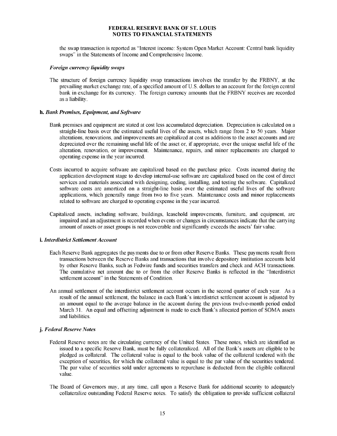the swap transaction is reported as "Interest income: System Open Market Account: Central bank liquidity swaps" in the Statements of Income and Comprehensive Income.

#### *Foreign currency liquidity swaps*

The structure of foreign currency liquidity swap transactions involves the transfer by the FRBNY, at the prevailing market exchange rate, of a specified amount of U.S. dollars to an account for the foreign central bank in exchange for its currency. The foreign currency amounts that the FRBNY receives are recorded as a liability.

#### h. *Bank Premises, Equipment, and Software*

- Bank premises and equipment are stated at cost less accumulated depreciation. Depreciation is calculated on a straight-line basis over the estimated useful lives of the assets, which range from 2 to 50 years. Major alterations, renovations, and improvements are capitalized at cost as additions to the asset accounts and are depreciated over the remaining useful life of the asset or, if appropriate, over the unique useful life of the alteration, renovation, or improvement. Maintenance, repairs, and minor replacements are charged to operating expense in the year incurred.
- Costs incurred to acquire software are capitalized based on the purchase price. Costs incurred during the application development stage to develop internal-use software are capitalized based on the cost of direct services and materials associated with designing, coding, installing, and testing the software. Capitalized software costs are amortized on a straight-line basis over the estimated useful lives of the software applications, which generally range from two to five years. Maintenance costs and minor replacements related to software are charged to operating expense in the year incurred.
- Capitalized assets, including software, buildings, leasehold improvements, furniture, and equipment, are impaired and an adjustment is recorded when events or changes in circumstances indicate that the carrying amount of assets or asset groups is not recoverable and significantly exceeds the assets' fair value.

#### i. *Interdistrict Settlement Account*

- Each Reserve Bank aggregates the payments due to or from other Reserve Banks. These payments result from transactions between the Reserve Banks and transactions that involve depository institution accounts held by other Reserve Banks, such as Fedwire funds and securities transfers and check and ACH transactions. The cumulative net amount due to or from the other Reserve Banks is reflected in the "Interdistrict settlement account" in the Statements of Condition.
- An annual settlement of the interdistrict settlement account occurs in the second quarter of each year. As a result of the annual settlement, the balance in each Bank's interdistrict settlement account is adjusted by an amount equal to the average balance in the account during the previous twelve-month period ended March 31. An equal and offsetting adjustment is made to each Bank's allocated portion of SOMA assets and liabilities.

#### j. *Federal Reserve Notes*

- Federal Reserve notes are the circulating currency of the United States. These notes, which are identified as issued to a specific Reserve Bank, must be fully collateralized. All of the Bank's assets are eligible to be pledged as collateral. The collateral value is equal to the book value of the collateral tendered with the exception of securities, for which the collateral value is equal to the par value of the securities tendered. The par value of securities sold under agreements to repurchase is deducted from the eligible collateral value.
- The Board of Governors may, at any time, call upon a Reserve Bank for additional security to adequately collateralize outstanding Federal Reserve notes. To satisfy the obligation to provide sufficient collateral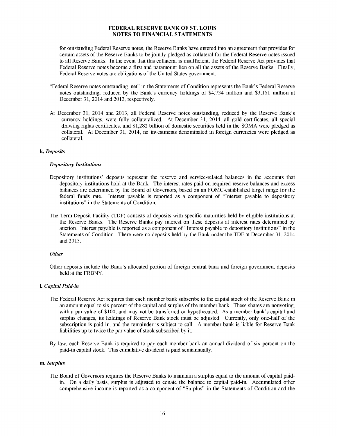for outstanding Federal Reserve notes, the Reserve Banks have entered into an agreement that provides for certain assets of the Reserve Banks to be jointly pledged as collateral for the Federal Reserve notes issued to all Reserve Banks. In the event that this collateral is insufficient, the Federal Reserve Act provides that Federal Reserve notes become a first and paramount lien on all the assets of the Reserve Banks. Finally, Federal Reserve notes are obligations of the United States government.

- "Federal Reserve notes outstanding, net" in the Statements of Condition represents the Bank's Federal Reserve notes outstanding, reduced by the Bank's currency holdings of \$4,734 million and \$3,161 million at December 31, 2014 and 2013, respectively.
- At December 31, 2014 and 2013, all Federal Reserve notes outstanding, reduced by the Reserve Bank's currency holdings, were fully collateralized. At December 31, 2014, all gold certificates, all special drawing rights certificates, and \$1,282 billion of domestic securities held in the SOMA were pledged as collateral. At December 31, 2014, no investments denominated in foreign currencies were pledged as collateral.

#### k. *Deposits*

#### *Depository Institutions*

- Depository institutions' deposits represent the reserve and service-related balances in the accounts that depository institutions hold at the Bank. The interest rates paid on required reserve balances and excess balances are determined by the Board of Governors, based on an FOMC-established target range for the federal funds rate. Interest payable is reported as a component of "Interest payable to depository institutions" in the Statements of Condition.
- The Term Deposit Facility (TDF) consists of deposits with specific maturities held by eligible institutions at the Reserve Banks. The Reserve Banks pay interest on these deposits at interest rates determined by auction. Interest payable is reported as a component of "Interest payable to depository institutions" in the Statements of Condition. There were no deposits held by the Bank under the TDF at December 31, 2014 and 2013.

#### *Other*

Other deposits include the Bank's allocated portion of foreign central bank and foreign government deposits held at the FRBNY.

#### l. *Capital Paid-in*

- The Federal Reserve Act requires that each member bank subscribe to the capital stock of the Reserve Bank in an amount equal to six percent of the capital and surplus of the member bank. These shares are nonvoting, with a par value of \$100, and may not be transferred or hypothecated. As a member bank's capital and surplus changes, its holdings of Reserve Bank stock must be adjusted. Currently, only one-half of the subscription is paid in, and the remainder is subject to call. A member bank is liable for Reserve Bank liabilities up to twice the par value of stock subscribed by it.
- By law, each Reserve Bank is required to pay each member bank an annual dividend of six percent on the paid-in capital stock. This cumulative dividend is paid semiannually.

#### m. *Surplus*

The Board of Governors requires the Reserve Banks to maintain a surplus equal to the amount of capital paidin. On a daily basis, surplus is adjusted to equate the balance to capital paid-in. Accumulated other comprehensive income is reported as a component of "Surplus" in the Statements of Condition and the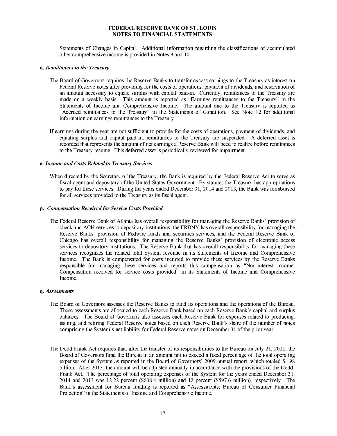Statements of Changes in Capital. Additional information regarding the classifications of accumulated other comprehensive income is provided in Notes 9 and 10.

#### n. *Remittances to the Treasury*

- The Board of Governors requires the Reserve Banks to transfer excess earnings to the Treasury as interest on Federal Reserve notes after providing for the costs of operations, payment of dividends, and reservation of an amount necessary to equate surplus with capital paid-in. Currently, remittances to the Treasury are made on a weekly basis. This amount is reported as "Earnings remittances to the Treasury" in the Statements of Income and Comprehensive Income. The amount due to the Treasury is reported as "Accrued remittances to the Treasury" in the Statements of Condition. See Note 12 for additional information on earnings remittances to the Treasury.
- If earnings during the year are not sufficient to provide for the costs of operations, payment of dividends, and equating surplus and capital paid-in, remittances to the Treasury are suspended. A deferred asset is recorded that represents the amount of net earnings a Reserve Bank will need to realize before remittances to the Treasury resume. This deferred asset is periodically reviewed for impairment.

#### o. *Income and Costs Related to Treasury Services*

When directed by the Secretary of the Treasury, the Bank is required by the Federal Reserve Act to serve as fiscal agent and depositary of the United States Government. By statute, the Treasury has appropriations to pay for these services. During the years ended December 31, 2014 and 2013, the Bank was reimbursed for all services provided to the Treasury as its fiscal agent.

#### p. *Compensation Receivedfor Service Costs Provided*

The Federal Reserve Bank of Atlanta has overall responsibility for managing the Reserve Banks' provision of check and ACH services to depository institutions, the FRBNY has overall responsibility for managing the Reserve Banks' provision of Fedwire funds and securities services, and the Federal Reserve Bank of Chicago has overall responsibility for managing the Reserve Banks' provision of electronic access services to depository institutions. The Reserve Bank that has overall responsibility for managing these services recognizes the related total System revenue in its Statements of Income and Comprehensive Income. The Bank is compensated for costs incurred to provide these services by the Reserve Banks responsible for managing these services and reports this compensation as "Non-interest income: Compensation received for service costs provided" in its Statements of Income and Comprehensive Income.

#### q. *Assessments*

- The Board of Governors assesses the Reserve Banks to fund its operations and the operations of the Bureau. These assessments are allocated to each Reserve Bank based on each Reserve Bank's capital and surplus balances. The Board of Governors also assesses each Reserve Bank for expenses related to producing, issuing, and retiring Federal Reserve notes based on each Reserve Bank's share of the number of notes comprising the System's net liability for Federal Reserve notes on December 31 of the prior year.
- The Dodd-Frank Act requires that, after the transfer of its responsibilities to the Bureau on July 21, 2011, the Board of Governors fund the Bureau in an amount not to exceed a fixed percentage of the total operating expenses of the System as reported in the Board of Governors' 2009 annual report, which totaled \$4.98 billion. After 2013, the amount will be adjusted annually in accordance with the provisions of the Dodd-Frank Act. The percentage of total operating expenses of the System for the years ended December 31, 2014 and 2013 was 12.22 percent (\$608.4 million) and 12 percent (\$597.6 million), respectively. The Bank's assessment for Bureau funding is reported as "Assessments: Bureau of Consumer Financial Protection" in the Statements of Income and Comprehensive Income.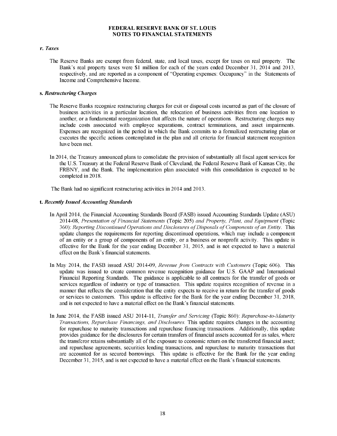#### r. *Taxes*

The Reserve Banks are exempt from federal, state, and local taxes, except for taxes on real property. The Bank's real property taxes were \$1 million for each of the years ended December 31, 2014 and 2013, respectively, and are reported as a component of "Operating expenses: Occupancy" in the Statements of Income and Comprehensive Income.

#### s. *Restructuring Charges*

- The Reserve Banks recognize restructuring charges for exit or disposal costs incurred as part of the closure of business activities in a particular location, the relocation of business activities from one location to another, or a fundamental reorganization that affects the nature of operations. Restructuring charges may include costs associated with employee separations, contract terminations, and asset impairments. Expenses are recognized in the period in which the Bank commits to a formalized restructuring plan or executes the specific actions contemplated in the plan and all criteria for financial statement recognition have been met.
- In 2014, the Treasury announced plans to consolidate the provision of substantially all fiscal agent services for the U.S. Treasury at the Federal Reserve Bank of Cleveland, the Federal Reserve Bank of Kansas City, the FRBNY, and the Bank. The implementation plan associated with this consolidation is expected to be completed in 2018.

The Bank had no significant restructuring activities in 2014 and 2013.

#### t. *Recently Issued Accounting Standards*

- In April 2014, the Financial Accounting Standards Board (FASB) issued Accounting Standards Update (ASU) 2014-08, *Presentation o f Financial Statements* (Topic 205) *and Property, Plant, and Equipment* (Topic 360): *Reporting Discontinued Operations and Disclosures of Disposals of Components of an Entity*. This update changes the requirements for reporting discontinued operations, which may include a component of an entity or a group of components of an entity, or a business or nonprofit activity. This update is effective for the Bank for the year ending December 31, 2015, and is not expected to have a material effect on the Bank's financial statements.
- In May 2014, the FASB issued ASU 2014-09, *Revenue from Contracts with Customers* (Topic 606). This update was issued to create common revenue recognition guidance for U.S. GAAP and International Financial Reporting Standards. The guidance is applicable to all contracts for the transfer of goods or services regardless of industry or type of transaction. This update requires recognition of revenue in a manner that reflects the consideration that the entity expects to receive in return for the transfer of goods or services to customers. This update is effective for the Bank for the year ending December 31, 2018, and is not expected to have a material effect on the Bank's financial statements.
- In June 2014, the FASB issued ASU 2014-11, *Transfer and Servicing* (Topic 860): *Repurchase-to-Maturity Transactions, Repurchase Financings, and Disclosures.* This update requires changes in the accounting for repurchase to maturity transactions and repurchase financing transactions. Additionally, this update provides guidance for the disclosures for certain transfers of financial assets accounted for as sales, where the transferor retains substantially all of the exposure to economic return on the transferred financial asset; and repurchase agreements, securities lending transactions, and repurchase to maturity transactions that are accounted for as secured borrowings. This update is effective for the Bank for the year ending December 31, 2015, and is not expected to have a material effect on the Bank's financial statements.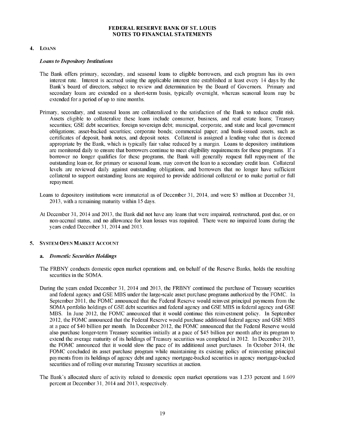#### 4. LOANS

#### *Loans to Depository Institutions*

- The Bank offers primary, secondary, and seasonal loans to eligible borrowers, and each program has its own interest rate. Interest is accrued using the applicable interest rate established at least every 14 days by the Bank's board of directors, subject to review and determination by the Board of Governors. Primary and secondary loans are extended on a short-term basis, typically overnight, whereas seasonal loans may be extended for a period of up to nine months.
- Primary, secondary, and seasonal loans are collateralized to the satisfaction of the Bank to reduce credit risk. Assets eligible to collateralize these loans include consumer, business, and real estate loans; Treasury securities; GSE debt securities; foreign sovereign debt; municipal, corporate, and state and local government obligations; asset-backed securities; corporate bonds; commercial paper; and bank-issued assets, such as certificates of deposit, bank notes, and deposit notes. Collateral is assigned a lending value that is deemed appropriate by the Bank, which is typically fair value reduced by a margin. Loans to depository institutions are monitored daily to ensure that borrowers continue to meet eligibility requirements for these programs. If a borrower no longer qualifies for these programs, the Bank will generally request full repayment of the outstanding loan or, for primary or seasonal loans, may convert the loan to a secondary credit loan. Collateral levels are reviewed daily against outstanding obligations, and borrowers that no longer have sufficient collateral to support outstanding loans are required to provide additional collateral or to make partial or full repayment.
- Loans to depository institutions were immaterial as of December 31, 2014, and were \$3 million at December 31, 2013, with a remaining maturity within 15 days.
- At December 31, 2014 and 2013, the Bank did not have any loans that were impaired, restructured, past due, or on non-accrual status, and no allowance for loan losses was required. There were no impaired loans during the years ended December 31, 2014 and 2013.

#### 5. SYSTEM OPEN MARKET ACCOUNT

#### a. *Domestic Securities Holdings*

- The FRBNY conducts domestic open market operations and, on behalf of the Reserve Banks, holds the resulting securities in the SOMA.
- During the years ended December 31, 2014 and 2013, the FRBNY continued the purchase of Treasury securities and federal agency and GSE MBS under the large-scale asset purchase programs authorized by the FOMC. In September 2011, the FOMC announced that the Federal Reserve would reinvest principal payments from the SOMA portfolio holdings of GSE debt securities and federal agency and GSE MBS in federal agency and GSE MBS. In June 2012, the FOMC announced that it would continue this reinvestment policy. In September 2012, the FOMC announced that the Federal Reserve would purchase additional federal agency and GSE MBS at a pace of \$40 billion per month. In December 2012, the FOMC announced that the Federal Reserve would also purchase longer-term Treasury securities initially at a pace of \$45 billion per month after its program to extend the average maturity of its holdings of Treasury securities was completed in 2012. In December 2013, the FOMC announced that it would slow the pace of its additional asset purchases. In October 2014, the FOMC concluded its asset purchase program while maintaining its existing policy of reinvesting principal payments from its holdings of agency debt and agency mortgage-backed securities in agency mortgage-backed securities and of rolling over maturing Treasury securities at auction.
- The Bank's allocated share of activity related to domestic open market operations was 1.233 percent and 1.609 percent at December 31, 2014 and 2013, respectively.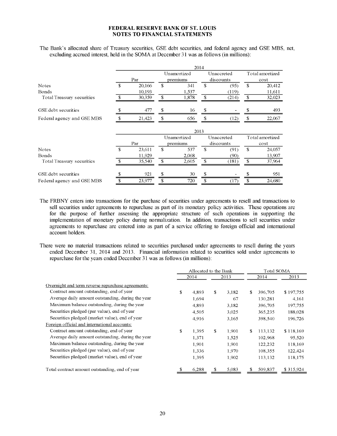The Bank's allocated share of Treasury securities, GSE debt securities, and federal agency and GSE MBS, net, excluding accrued interest, held in the SOMA at December 31 was as follows (in millions):

|                            |               |        |              |             | 2014          |            |                 |                 |  |  |  |  |  |
|----------------------------|---------------|--------|--------------|-------------|---------------|------------|-----------------|-----------------|--|--|--|--|--|
|                            |               |        |              | Unamortized |               | Unaccreted |                 | Total amortized |  |  |  |  |  |
|                            |               | Par    |              | premiums    |               | discounts  | cost            |                 |  |  |  |  |  |
| Notes                      | $\mathcal{S}$ | 20,166 | $\mathbf{S}$ | 341         | $\mathbf{\$}$ | (95)       |                 | 20,412          |  |  |  |  |  |
| Bonds                      |               | 10,193 |              | 1.537       |               | (119)      |                 | 11,611          |  |  |  |  |  |
| Total Treasury securities  | \$            | 30,359 | \$           | 1,878       | \$            | (214)      | \$              | 32,023          |  |  |  |  |  |
| GSE debt securities        | \$            | 477    | \$           | 16          | \$.           |            | \$              | 493             |  |  |  |  |  |
| Federal agency and GSE MBS |               | 21,423 | \$           | 656         | \$            | (12)       | \$              | 22,067          |  |  |  |  |  |
|                            | 2013          |        |              |             |               |            |                 |                 |  |  |  |  |  |
|                            |               |        |              | Unamortized | Unaccreted    |            | Total amortized |                 |  |  |  |  |  |
|                            |               | Par    |              | premiums    |               | discounts  |                 | cost            |  |  |  |  |  |
| <b>Notes</b>               | \$            | 23,611 | \$           | 537         | $\mathbf{s}$  | (91)       | $\mathbf{\$}$   | 24,057          |  |  |  |  |  |
| Bonds                      |               | 11.929 |              | 2.068       |               | (90)       |                 | 13,907          |  |  |  |  |  |
| Total Treasury securities  |               | 35,540 | \$           | 2,605       | \$            | (181)      | \$              | 37,964          |  |  |  |  |  |
| GSE debt securities        |               | 921    | \$           | 30          |               |            |                 | 951             |  |  |  |  |  |
| Federal agency and GSE MBS |               | 23,977 | \$           | 720         | \$            | (17)       | \$              | 24,680          |  |  |  |  |  |

The FRBNY enters into transactions for the purchase of securities under agreements to resell and transactions to sell securities under agreements to repurchase as part of its monetary policy activities. These operations are for the purpose of further assessing the appropriate structure of such operations in supporting the implementation of monetary policy during normalization. In addition, transactions to sell securities under agreements to repurchase are entered into as part of a service offering to foreign official and international account holders.

There were no material transactions related to securities purchased under agreements to resell during the years ended December 31, 2014 and 2013. Financial information related to securities sold under agreements to repurchase for the years ended December 31 was as follows (in millions):

|                                                   | Allocated to the Bank |    |       |    | Total SOMA |           |
|---------------------------------------------------|-----------------------|----|-------|----|------------|-----------|
|                                                   | 2014                  |    | 2013  |    | 2014       | 2013      |
| Overnight and term reverse repurchase agreements: |                       |    |       |    |            |           |
| Contract amount outstanding, end of year          | \$<br>4.893           | \$ | 3.182 | \$ | 396,705    | \$197,755 |
| Average daily amount outstanding, during the year | 1.694                 |    | 67    |    | 130,281    | 4,161     |
| Maximum balance outstanding, during the year      | 4.893                 |    | 3.182 |    | 396,705    | 197,755   |
| Securities pledged (par value), end of year       | 4.505                 |    | 3,025 |    | 365,235    | 188,028   |
| Securities pledged (market value), end of year    | 4.916                 |    | 3,165 |    | 398,540    | 196,726   |
| Foreign official and international accounts:      |                       |    |       |    |            |           |
| Contract amount outstanding, end of year          | \$<br>1.395           | \$ | 1.901 | \$ | 113,132    | \$118,169 |
| Average daily amount outstanding, during the year | 1.371                 |    | 1,525 |    | 102,968    | 95,520    |
| Maximum balance outstanding, during the year      | 1.901                 |    | 1,901 |    | 122,232    | 118,169   |
| Securities pledged (par value), end of year       | 1,336                 |    | 1,970 |    | 108,355    | 122,424   |
| Securities pledged (market value), end of year    | 1,395                 |    | 1,902 |    | 113,132    | 118,175   |
| Total contract amount outstanding, end of year    | 6,288                 | S  | 5,083 | S  | 509,837    | \$315,924 |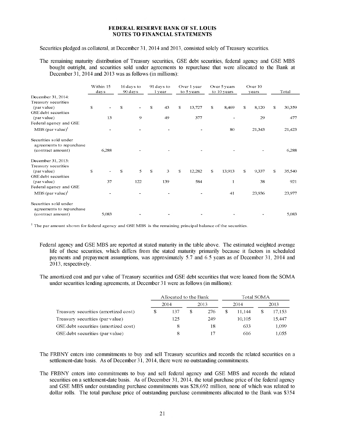Securities pledged as collateral, at December 31, 2014 and 2013, consisted solely of Treasury securities.

The remaining maturity distribution of Treasury securities, GSE debt securities, federal agency and GSE MBS bought outright, and securities sold under agreements to repurchase that were allocated to the Bank at December 31, 2014 and 2013 was as follows (in millions):

|                                                   |              | Within 15<br>days |    | 16 days to<br>90 days |          | 91 days to<br>1 year |   | Over 1 year<br>to 5 years |              | Over 5 years<br>to 10 years |    | Over 10<br>vears |              | Total  |
|---------------------------------------------------|--------------|-------------------|----|-----------------------|----------|----------------------|---|---------------------------|--------------|-----------------------------|----|------------------|--------------|--------|
| December 31, 2014:<br>Treasury securities         |              |                   |    |                       |          |                      |   |                           |              |                             |    |                  |              |        |
| (par value)                                       | $\mathbb{S}$ |                   | S. |                       | S        | 43                   | S | 13,727                    | \$           | 8,469                       | S  | 8,120            | $\mathbb{S}$ | 30,359 |
| GSE debt securities<br>(par value)                |              | 13                |    | 9                     |          | 49                   |   | 377                       |              |                             |    | 29               |              | 477    |
| Federal agency and GSE                            |              |                   |    |                       |          |                      |   |                           |              |                             |    |                  |              |        |
| $MBS$ (par value) <sup>1</sup>                    |              |                   |    |                       |          |                      |   |                           |              | 80                          |    | 21,343           |              | 21,423 |
| Securities sold under<br>agreements to repurchase |              |                   |    |                       |          |                      |   |                           |              |                             |    |                  |              |        |
| (contract amount)                                 |              | 6,288             |    |                       |          |                      |   |                           |              |                             |    |                  |              | 6,288  |
| December 31, 2013:                                |              |                   |    |                       |          |                      |   |                           |              |                             |    |                  |              |        |
| Treasury securities                               |              |                   |    |                       |          |                      |   |                           |              |                             |    |                  |              |        |
| (par value)                                       | $\mathbb{S}$ |                   | S  | 5                     | <b>S</b> | 3                    | S | 12,282                    | $\mathbb{S}$ | 13,913                      | £. | 9,337            | $\mathbb S$  | 35,540 |
| GSE debt securities                               |              |                   |    |                       |          |                      |   |                           |              |                             |    |                  |              |        |
| (par value)                                       |              | 37                |    | 122                   |          | 139                  |   | 584                       |              | $\mathbf{1}$                |    | 38               |              | 921    |
| Federal agency and GSE                            |              |                   |    |                       |          |                      |   |                           |              |                             |    |                  |              |        |
| MBS (par value) <sup>1</sup>                      |              |                   |    |                       |          |                      |   |                           |              | 41                          |    | 23,936           |              | 23,977 |
| Securities sold under<br>agreements to repurchase |              |                   |    |                       |          |                      |   |                           |              |                             |    |                  |              |        |
| (contract amount)                                 |              | 5,083             |    |                       |          |                      |   |                           |              |                             |    |                  |              | 5,083  |

<sup>1</sup> The par amount shown for federal agency and GSE MBS is the remaining principal balance of the securities.

Federal agency and GSE MBS are reported at stated maturity in the table above. The estimated weighted average life of these securities, which differs from the stated maturity primarily because it factors in scheduled payments and prepayment assumptions, was approximately 5.7 and 6.5 years as of December 31, 2014 and 2013, respectively.

The amortized cost and par value of Treasury securities and GSE debt securities that were loaned from the SOMA under securities lending agreements, at December 31 were as follows (in millions):

|                                      |              | Allocated to the Bank |    |     | Total SOMA |        |      |        |  |  |
|--------------------------------------|--------------|-----------------------|----|-----|------------|--------|------|--------|--|--|
|                                      | 2014<br>2013 |                       |    |     |            | 2014   | 2013 |        |  |  |
| Treasury securities (amortized cost) | \$.          | 137                   | \$ | 276 | \$.        | 11.144 |      | 17,153 |  |  |
| Treasury securities (par value)      |              | 125                   |    | 249 |            | 10.105 |      | 15,447 |  |  |
| GSE debt securities (amortized cost) |              |                       |    | 18  |            | 633    |      | 1,099  |  |  |
| GSE debt securities (par value)      |              | 8                     |    | 17  |            | 616    |      | 1,055  |  |  |

The FRBNY enters into commitments to buy and sell Treasury securities and records the related securities on a settlement-date basis. As of December 31, 2014, there were no outstanding commitments.

The FRBNY enters into commitments to buy and sell federal agency and GSE MBS and records the related securities on a settlement-date basis. As of December 31, 2014, the total purchase price of the federal agency and GSE MBS under outstanding purchase commitments was \$28,692 million, none of which was related to dollar rolls. The total purchase price of outstanding purchase commitments allocated to the Bank was \$354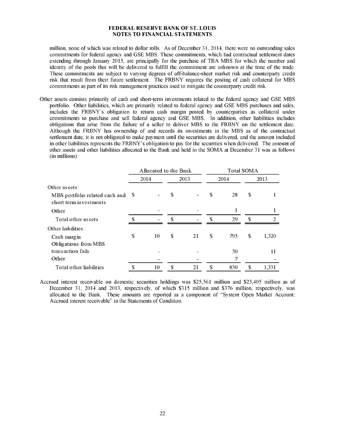million, none of which was related to dollar rolls. As of December 31, 2014, there were no outstanding sales commitments for federal agency and GSE MBS. These commitments, which had contractual settlement dates extending through January 2015, are principally for the purchase of TBA MBS for which the number and identity of the pools that will be delivered to fulfill the commitment are unknown at the time of the trade. These commitments are subject to varying degrees of off-balance-sheet market risk and counterparty credit risk that result from their future settlement. The FRBNY requires the posting of cash collateral for MBS commitments as part of its risk management practices used to mitigate the counterparty credit risk.

Other assets consists primarily of cash and short-term investments related to the federal agency and GSE MBS portfolio. Other liabilities, which are primarily related to federal agency and GSE MBS purchases and sales, includes the FRBNY's obligation to return cash margin posted by counterparties as collateral under commitments to purchase and sell federal agency and GSE MBS. In addition, other liabilities includes obligations that arise from the failure of a seller to deliver MBS to the FRBNY on the settlement date. Although the FRBNY has ownership of and records its investments in the MBS as of the contractual settlement date, it is not obligated to make payment until the securities are delivered, and the amount included in other liabilities represents the FRBNY's obligation to pay for the securities when delivered. The amount of other assets and other liabilities allocated to the Bank and held in the SOMA at December 31 was as follows (in millions):

|                                                                              |    | Allocated to the Bank |     |      | <b>Total SOMA</b> |      |      |       |  |  |
|------------------------------------------------------------------------------|----|-----------------------|-----|------|-------------------|------|------|-------|--|--|
|                                                                              |    | 2014                  |     | 2013 |                   | 2014 | 2013 |       |  |  |
| Other assets:<br>MBS portfolio related cash and \$<br>short term investments |    |                       | S   |      | \$                | 28   | \$   |       |  |  |
| Other                                                                        |    |                       |     |      |                   |      |      |       |  |  |
| Total other assets                                                           | S  |                       | \$. |      | <sup>\$</sup>     | 29   | \$.  | 2     |  |  |
| Other liabilities:                                                           |    |                       |     |      |                   |      |      |       |  |  |
| Cash margin<br>Obligations from MBS                                          | \$ | 10                    | \$  | 21   | \$                | 793  | S    | 1,320 |  |  |
| transaction fails                                                            |    |                       |     |      |                   | 30   |      | 11    |  |  |
| Other                                                                        |    |                       |     |      |                   | 7    |      |       |  |  |
| Total other liabilities                                                      | \$ | 10                    | \$  | 21   | \$                | 830  | \$   | 1,331 |  |  |

Accrued interest receivable on domestic securities holdings was \$25,561 million and \$23,405 million as of December 31, 2014 and 2013, respectively, of which \$315 million and \$376 million, respectively, was allocated to the Bank. These amounts are reported as a component of "System Open Market Account: Accrued interest receivable" in the Statements of Condition.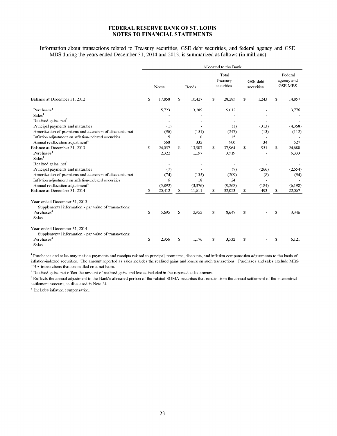Information about transactions related to Treasury securities, GSE debt securities, and federal agency and GSE MBS during the years ended December 31, 2014 and 2013, is summarized as follows (in millions):

|                                                                                       |               |         |     |         |              | Allocated to the Bank           |                        |       |   |                                         |
|---------------------------------------------------------------------------------------|---------------|---------|-----|---------|--------------|---------------------------------|------------------------|-------|---|-----------------------------------------|
|                                                                                       |               | Notes   |     | Bonds   |              | Total<br>Treasury<br>securities | GSE debt<br>securities |       |   | Federal<br>agency and<br><b>GSE MBS</b> |
| Balance at December 31, 2012                                                          | S             | 17,858  | S   | 10,427  | \$           | 28,285                          | S                      | 1,243 | S | 14,857                                  |
| $P$ urchases <sup>1</sup>                                                             |               | 5,723   |     | 3,289   |              | 9,012                           |                        |       |   | 13,776                                  |
| Sales <sup>1</sup>                                                                    |               |         |     |         |              |                                 |                        |       |   |                                         |
| Realized gains, net <sup>2</sup>                                                      |               |         |     |         |              |                                 |                        |       |   |                                         |
| Principal payments and maturities                                                     |               | (1)     |     |         |              | (1)                             |                        | (313) |   | (4,368)                                 |
| Amortization of premiums and accretion of discounts, net                              |               | (96)    |     | (151)   |              | (247)                           |                        | (13)  |   | (112)                                   |
| Inflation adjustment on inflation-indexed securities                                  |               | 5       |     | 10      |              | 15                              |                        |       |   |                                         |
| Annual reallocation adjustment <sup>3</sup>                                           |               | 568     |     | 332     |              | 900                             |                        | 34    |   | 527                                     |
| Balance at December 31, 2013                                                          | <sup>\$</sup> | 24,057  | \$. | 13,907  | \$           | 37,964                          | S                      | 951   | S | 24,680                                  |
| $P$ urchases <sup>1</sup>                                                             |               | 2,322   |     | 1,197   |              | 3,519                           |                        |       |   | 6,333                                   |
| Sales <sup>1</sup>                                                                    |               |         |     |         |              |                                 |                        |       |   |                                         |
| Realized gains, net <sup>2</sup>                                                      |               |         |     |         |              |                                 |                        |       |   |                                         |
| Principal payments and maturities                                                     |               | (7)     |     |         |              | (7)                             |                        | (266) |   | (2,654)                                 |
| Amortization of premiums and accretion of discounts, net                              |               | (74)    |     | (135)   |              | (209)                           |                        | (8)   |   | (94)                                    |
| Inflation adjustment on inflation-indexed securities                                  |               | 6       |     | 18      |              | 24                              |                        |       |   |                                         |
| Annual reallocation adjustment <sup>3</sup>                                           |               | (5,892) |     | (3,376) |              | (9,268)                         |                        | (184) |   | (6,198)                                 |
| Balance at December 31, 2014                                                          | S             | 20,412  | \$  | 11,611  | $\mathbb{S}$ | 32,023                          | \$                     | 493   | S | 22,067                                  |
| Year-ended December 31, 2013<br>Supplemental information - par value of transactions: |               |         |     |         |              |                                 |                        |       |   |                                         |
| Purchases <sup>4</sup>                                                                | \$.           | 5,695   | S   | 2,952   | \$           | 8.647                           | S                      |       | S | 13,346                                  |
| <b>Sales</b>                                                                          |               |         |     |         |              |                                 |                        |       |   |                                         |
| Year-ended December 31, 2014<br>Supplemental information - par value of transactions: |               |         |     |         |              |                                 |                        |       |   |                                         |
| Purchases <sup>4</sup>                                                                | \$            | 2,356   | S   | 1,176   | \$           | 3,532                           | S                      |       | S | 6,121                                   |
| Sales                                                                                 |               |         |     |         |              |                                 |                        |       |   |                                         |

<sup>1</sup> Purchases and sales may include payments and receipts related to principal, premiums, discounts, and inflation compensation adjustments to the basis of inflation-indexed securities. The amount reported as sales includes the realized gains and losses on such transactions. Purchases and sales exclude MBS TBA transactions that are settled on a net basis.

 $^{2}$  Realized gains, net offset the amount of realized gains and losses included in the reported sales amount.

<sup>3</sup> Reflects the annual adjustment to the Bank's allocated portion of the related SOMA securities that results from the annual settlement of the interdistrict settlement account, as discussed in Note 3i.

 $<sup>4</sup>$  Includes inflation compensation.</sup>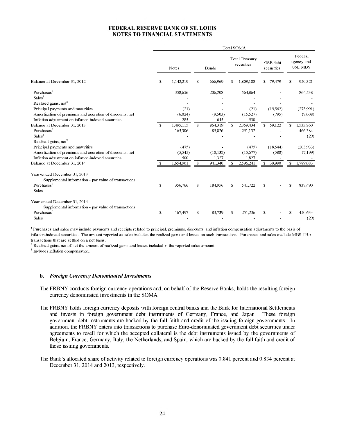|                                                                                       |              |              |              |           |                              | Total SOMA |                        |    |                                         |  |
|---------------------------------------------------------------------------------------|--------------|--------------|--------------|-----------|------------------------------|------------|------------------------|----|-----------------------------------------|--|
|                                                                                       |              | <b>Notes</b> | <b>Bonds</b> |           | Total Treasury<br>securities |            | GSE debt<br>securities |    | Federal<br>agency and<br><b>GSE MBS</b> |  |
| Balance at December 31, 2012                                                          | \$           | 1,142,219    | S            | 666.969   | S                            | 1,809,188  | \$<br>79,479           | S  | 950,321                                 |  |
| Purchases <sup>1</sup>                                                                |              | 358,656      |              | 206,208   |                              | 564,864    |                        |    | 864,538                                 |  |
| Sales <sup>1</sup>                                                                    |              |              |              |           |                              |            |                        |    |                                         |  |
| Realized gains, $net2$                                                                |              |              |              |           |                              |            |                        |    |                                         |  |
| Principal payments and maturities                                                     |              | (21)         |              |           |                              | (21)       | (19,562)               |    | (273,991)                               |  |
| Amortization of premiums and accretion of discounts, net                              |              | (6,024)      |              | (9,503)   |                              | (15,527)   | (795)                  |    | (7,008)                                 |  |
| Inflation adjustment on inflation-indexed securities                                  |              | 285          |              | 645       |                              | 930        |                        |    |                                         |  |
| Balance at December 31, 2013                                                          | <b>S</b>     | 1,495,115    | S            | 864,319   | S.                           | 2,359,434  | 59,122<br>S.           | S. | 1,533,860                               |  |
| Purchases <sup>1</sup>                                                                |              | 165,306      |              | 85,826    |                              | 251,132    |                        |    | 466,384                                 |  |
| Sales <sup>1</sup>                                                                    |              |              |              |           |                              |            |                        |    | (29)                                    |  |
| Realized gains, $net2$                                                                |              |              |              |           |                              |            |                        |    |                                         |  |
| Principal payments and maturities                                                     |              | (475)        |              |           |                              | (475)      | (18, 544)              |    | (203, 933)                              |  |
| Amortization of premiums and accretion of discounts, net                              |              | (5,545)      |              | (10, 132) |                              | (15,677)   | (588)                  |    | (7, 199)                                |  |
| Inflation adjustment on inflation-indexed securities                                  |              | 500          |              | 1,327     |                              | 1.827      |                        |    |                                         |  |
| Balance at December 31, 2014                                                          | S            | 1,654,901    | \$           | 941,340   | S                            | 2,596.241  | 39,990<br>$\mathbf{s}$ | S. | 1,789,083                               |  |
| Year-ended December 31, 2013<br>Supplemental information - par value of transactions: |              |              |              |           |                              |            |                        |    |                                         |  |
| Purchases $3$                                                                         | $\mathbb{S}$ | 356,766      | S            | 184,956   | S.                           | 541,722    | S                      | S  | 837,490                                 |  |
| Sales                                                                                 |              |              |              |           |                              |            |                        |    |                                         |  |
| Year-ended December 31, 2014                                                          |              |              |              |           |                              |            |                        |    |                                         |  |
| Supplemental information - par value of transactions:                                 |              |              |              |           |                              |            |                        |    |                                         |  |
| Purchases <sup>3</sup>                                                                | S            | 167,497      | \$           | 83,739    | S                            | 251,236    | S                      | S  | 450,633                                 |  |
| Sales                                                                                 |              |              |              |           |                              |            |                        |    | (29)                                    |  |

<sup>1</sup> Purchases and sales may include payments and receipts related to principal, premiums, discounts, and inflation compensation adjustments to the basis of inflation-indexed securities. The amount reported as sales includes the realized gains and losses on such transactions. Purchases and sales exclude MBS TBA transactions that are settled on a net basis.

 $<sup>2</sup>$  Realized gains, net offset the amount of realized gains and losses included in the reported sales amount.</sup>

 $3$  Includes inflation compensation.

#### b. *Foreign Currency Denominated Investments*

The FRBNY conducts foreign currency operations and, on behalf of the Reserve Banks, holds the resulting foreign currency denominated investments in the SOMA.

- The FRBNY holds foreign currency deposits with foreign central banks and the Bank for International Settlements and invests in foreign government debt instruments of Germany, France, and Japan. These foreign government debt instruments are backed by the full faith and credit of the issuing foreign governments. In addition, the FRBNY enters into transactions to purchase Euro-denominated government debt securities under agreements to resell for which the accepted collateral is the debt instruments issued by the governments of Belgium, France, Germany, Italy, the Netherlands, and Spain, which are backed by the full faith and credit of those issuing governments.
- The Bank's allocated share of activity related to foreign currency operations was 0.841 percent and 0.834 percent at December 31, 2014 and 2013, respectively.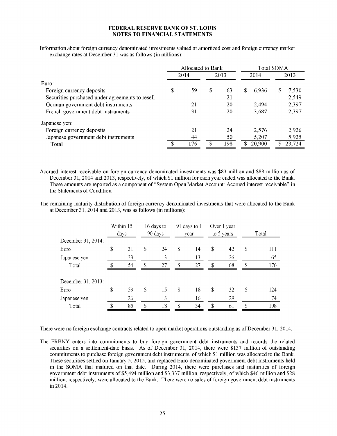Information about foreign currency denominated investments valued at amortized cost and foreign currency market exchange rates at December 31 was as follows (in millions):

|                                                 |      | Allocated to Bank |      |     |             |    | Total SOMA |  |  |
|-------------------------------------------------|------|-------------------|------|-----|-------------|----|------------|--|--|
|                                                 | 2014 |                   | 2013 |     | 2014        |    | 2013       |  |  |
| Euro:                                           |      |                   |      |     |             |    |            |  |  |
| Foreign currency deposits                       | \$   | 59                | S    | 63  | \$<br>6,936 | \$ | 7,530      |  |  |
| Securities purchased under agreements to resell |      |                   |      | 21  |             |    | 2,549      |  |  |
| German government debt instruments              |      | 21                |      | 20  | 2,494       |    | 2,397      |  |  |
| French government debt instruments              |      | 31                |      | 20  | 3.687       |    | 2,397      |  |  |
| Japanese yen:                                   |      |                   |      |     |             |    |            |  |  |
| Foreign currency deposits                       |      | 21                |      | 24  | 2,576       |    | 2,926      |  |  |
| Japanese government debt instruments            |      | 44                |      | 50  | 5,207       |    | 5,925      |  |  |
| Total                                           |      | 176               |      | 198 | 20,900      |    | 23.724     |  |  |

Accrued interest receivable on foreign currency denominated investments was \$83 million and \$88 million as of December 31, 2014 and 2013, respectively, of which \$1 million for each year ended was allocated to the Bank. These amounts are reported as a component of "System Open Market Account: Accrued interest receivable" in the Statements of Condition.

The remaining maturity distribution of foreign currency denominated investments that were allocated to the Bank at December 31, 2014 and 2013, was as follows (in millions):

|                    | Within 15<br>days | 16 days to<br>90 days |                           | 91 days to 1<br>year | Over 1 year<br>to 5 years |    | Total |     |  |
|--------------------|-------------------|-----------------------|---------------------------|----------------------|---------------------------|----|-------|-----|--|
| December 31, 2014: |                   |                       |                           |                      |                           |    |       |     |  |
| Euro               | \$<br>31          | \$<br>24              | \$                        | 14                   | \$                        | 42 | \$    | 111 |  |
| Japanese yen       | 23                | 3                     |                           | 13                   |                           | 26 |       | 65  |  |
| Total              | 54                | \$<br>27              | \$                        | 27                   | \$                        | 68 | \$    | 176 |  |
| December 31, 2013: |                   |                       |                           |                      |                           |    |       |     |  |
| Euro               | \$<br>59          | \$<br>15              | $\boldsymbol{\mathsf{s}}$ | 18                   | \$                        | 32 | \$    | 124 |  |
| Japanese yen       | 26                | 3                     |                           | 16                   |                           | 29 |       | 74  |  |
| Total              | \$<br>85          | \$<br>18              | \$                        | 34                   | $\mathbf{\$}$             | 61 | \$    | 198 |  |

There were no foreign exchange contracts related to open market operations outstanding as of December 31, 2014.

The FRBNY enters into commitments to buy foreign government debt instruments and records the related securities on a settlement-date basis. As of December 31, 2014, there were \$137 million of outstanding commitments to purchase foreign government debt instruments, of which \$1 million was allocated to the Bank. These securities settled on January 5, 2015, and replaced Euro-denominated government debt instruments held in the SOMA that matured on that date. During 2014, there were purchases and maturities of foreign government debt instruments of \$5,494 million and \$3,337 million, respectively, of which \$46 million and \$28 million, respectively, were allocated to the Bank. There were no sales of foreign government debt instruments in 2014.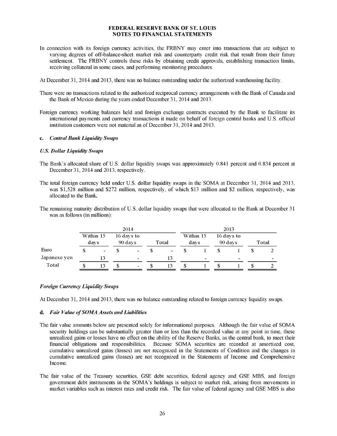- In connection with its foreign currency activities, the FRBNY may enter into transactions that are subject to varying degrees of off-balance-sheet market risk and counterparty credit risk that result from their future settlement. The FRBNY controls these risks by obtaining credit approvals, establishing transaction limits, receiving collateral in some cases, and performing monitoring procedures.
- At December 31, 2014 and 2013, there was no balance outstanding under the authorized warehousing facility.
- There were no transactions related to the authorized reciprocal currency arrangements with the Bank of Canada and the Bank of Mexico during the years ended December 31, 2014 and 2013.
- Foreign currency working balances held and foreign exchange contracts executed by the Bank to facilitate its international payments and currency transactions it made on behalf of foreign central banks and U.S. official institution customers were not material as of December 31, 2014 and 2013.

#### c. *Central Bank Liquidity Swaps*

#### *U.S. Dollar Liquidity Swaps*

- The Bank's allocated share of U.S. dollar liquidity swaps was approximately 0.841 percent and 0.834 percent at December 31, 2014 and 2013, respectively.
- The total foreign currency held under U.S. dollar liquidity swaps in the SOMA at December 31, 2014 and 2013, was \$1,528 million and \$272 million, respectively, of which \$13 million and \$2 million, respectively, was allocated to the Bank.
- The remaining maturity distribution of U.S. dollar liquidity swaps that were allocated to the Bank at December 31 was as follows (in millions):

|              |                                                     |    | 2014                     |  |      |           |         |            | 2013  |  |   |
|--------------|-----------------------------------------------------|----|--------------------------|--|------|-----------|---------|------------|-------|--|---|
|              | Within 15<br>16 days to<br>90 days<br>Total<br>days |    |                          |  | davs | Within 15 | 90 days | 16 days to | Total |  |   |
| Euro         | $\overline{\phantom{a}}$                            |    | $\,$                     |  | ۰.   |           |         |            |       |  |   |
| Japanese yen |                                                     |    | $\sim$                   |  | 13   |           | -       |            | -     |  | - |
| Total        | 13                                                  | \$ | $\overline{\phantom{a}}$ |  | 13   |           |         |            |       |  |   |

#### *Foreign Currency Liquidity Swaps*

At December 31, 2014 and 2013, there was no balance outstanding related to foreign currency liquidity swaps.

#### d. Fair Value of SOMA Assets and Liabilities

- The fair value amounts below are presented solely for informational purposes. Although the fair value of SOMA security holdings can be substantially greater than or less than the recorded value at any point in time, these unrealized gains or losses have no effect on the ability of the Reserve Banks, as the central bank, to meet their financial obligations and responsibilities. Because SOMA securities are recorded at amortized cost, cumulative unrealized gains (losses) are not recognized in the Statements of Condition and the changes in cumulative unrealized gains (losses) are not recognized in the Statements of Income and Comprehensive Income.
- The fair value of the Treasury securities, GSE debt securities, federal agency and GSE MBS, and foreign government debt instruments in the SOMA's holdings is subject to market risk, arising from movements in market variables such as interest rates and credit risk. The fair value of federal agency and GSE MBS is also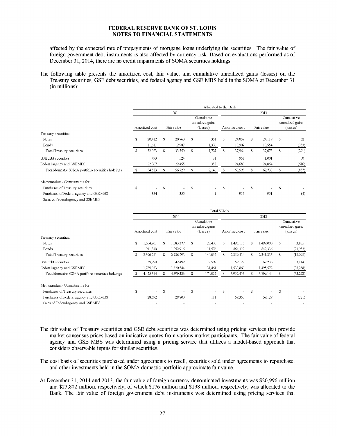affected by the expected rate of prepayments of mortgage loans underlying the securities. The fair value of foreign government debt instruments is also affected by currency risk. Based on evaluations performed as of December 31, 2014, there are no credit impairments of SOMA securities holdings.

The following table presents the amortized cost, fair value, and cumulative unrealized gains (losses) on the Treasury securities, GSE debt securities, and federal agency and GSE MBS held in the SOMA at December 31 (in millions):

|                                                   |    |                |    |            |             | Allocated to the Bank                      |    |                |             |            |             |                                                     |
|---------------------------------------------------|----|----------------|----|------------|-------------|--------------------------------------------|----|----------------|-------------|------------|-------------|-----------------------------------------------------|
|                                                   |    |                |    | 2014       |             |                                            |    |                |             | 2013       |             |                                                     |
|                                                   |    | Amortized cost |    | Fair value |             | Cumulative<br>unrealized gains<br>(losses) |    | Amortized cost |             | Fair value |             | Cumulative<br>unrealized gains<br>$(\text{losses})$ |
| Treasury securities:                              |    |                |    |            |             |                                            |    |                |             |            |             |                                                     |
| Notes                                             | \$ | 20,412         | s  | 20,763     | \$          | 351                                        | S  | 24,057         | s           | 24,119     | \$          | 62                                                  |
| Bonds                                             |    | 11,611         |    | 12,987     |             | 1,376                                      |    | 13,907         |             | 13,554     |             | (353)                                               |
| Total Treasury securities                         | S  | 32,023         | S. | 33,750     | $\mathbf S$ | 1,727                                      | S. | 37,964         | S.          | 37,673     | $\mathbf S$ | (291)                                               |
| GSE debt securities                               |    | 493            |    | 524        |             | 31                                         |    | 951            |             | 1,001      |             | 50                                                  |
| Federal agency and GSE MBS                        |    | 22,067         |    | 22,455     |             | 388                                        |    | 24,680         |             | 24,064     |             | (616)                                               |
| Total domestic SOMA portfolio securities holdings | \$ | 54,583         | s  | 56,729     | \$          | 2,146                                      | -S | 63,595         | $\mathbf S$ | 62,738     | \$          | (857)                                               |
| Memorandum - Commitments for:                     |    |                |    |            |             |                                            |    |                |             |            |             |                                                     |
| Purchases of Treasury securities                  | \$ |                | s  |            | \$          |                                            | \$ |                | S           |            | \$          |                                                     |
| Purchases of Federal agency and GSE MBS           |    | 354            |    | 355        |             |                                            |    | 955            |             | 951        |             | (4)                                                 |
| Sales of Federal agency and GSEMBS                |    |                |    |            |             |                                            |    |                |             |            |             |                                                     |
|                                                   |    |                |    |            |             | Total SOMA                                 |    |                |             |            |             |                                                     |
|                                                   |    |                |    | 2014       |             |                                            |    |                |             | 2013       |             |                                                     |
|                                                   |    | Amortized cost |    | Fair value |             | Cumulative<br>unrealized gains<br>(losses) |    | Amortized cost |             | Fair value |             | Cumulative<br>unrealized gains<br>(losses)          |
| Treasury securities:                              |    |                |    |            |             |                                            |    |                |             |            |             |                                                     |
| Notes                                             | S  | 1,654,901      | S  | 1,683,377  | S           | 28,476                                     | S  | 1,495,115      | S           | 1,499,000  | \$          | 3,885                                               |
| Bonds                                             |    | 941.340        |    | 1,052,916  |             | 111,576                                    |    | 864,319        |             | 842,336    |             | (21,983)                                            |
| Total Treasury securities                         | S  | 2,596,241      | s  | 2,736,293  | \$          | 140,052                                    | S  | 2,359,434      | s           | 2,341,336  | \$          | (18,098)                                            |
| GSE debt securities                               |    | 39.990         |    | 42,499     |             | 2,509                                      |    | 59,122         |             | 62,236     |             | 3,114                                               |
| Federal agency and GSE MBS                        |    | 1,789,083      |    | 1,820,544  |             | 31,461                                     |    | 1,533,860      |             | 1,495,572  |             | (38, 288)                                           |
| Total domestic SOMA portfolio securities holdings | \$ | 4,425,314      | S  | 4,599,336  | \$          | 174,022                                    | S  | 3,952,416      | \$          | 3,899,144  | \$          | (53,272)                                            |

| Memorandum - Commitments for:           |                          |                          |                          |                 |        |       |
|-----------------------------------------|--------------------------|--------------------------|--------------------------|-----------------|--------|-------|
| Purchases of Treasury securities        | $\overline{\phantom{a}}$ | $\sim$                   | $\sim$                   | $\sim$ 10 $\pm$ | $\sim$ |       |
| Purchases of Federal agency and GSE MBS | 28.692                   | 28,803                   |                          | 59,350          | 59,129 | (221) |
| Sales of Federal agency and GSEMBS      |                          | $\overline{\phantom{0}}$ | $\overline{\phantom{a}}$ | $\sim$          |        |       |

- The fair value of Treasury securities and GSE debt securities was determined using pricing services that provide market consensus prices based on indicative quotes from various market participants. The fair value of federal agency and GSE MBS was determined using a pricing service that utilizes a model-based approach that considers observable inputs for similar securities.
- The cost basis of securities purchased under agreements to resell, securities sold under agreements to repurchase, and other investments held in the SOMA domestic portfolio approximate fair value.
- At December 31, 2014 and 2013, the fair value of foreign currency denominated investments was \$20,996 million and \$23,802 million, respectively, of which \$176 million and \$198 million, respectively, was allocated to the Bank. The fair value of foreign government debt instruments was determined using pricing services that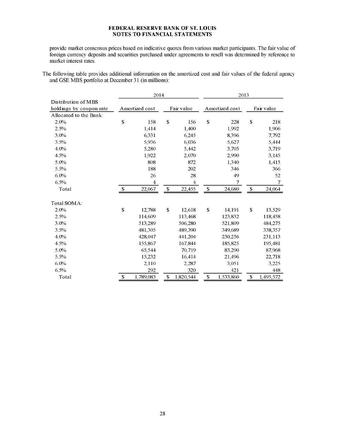provide market consensus prices based on indicative quotes from various market participants. The fair value of foreign currency deposits and securities purchased under agreements to resell was determined by reference to market interest rates.

The following table provides additional information on the amortized cost and fair values of the federal agency and GSE MBS portfolio at December 31 (in millions):

|                         | 2014                      |                |              |                |    | 2013           |      |            |  |  |  |
|-------------------------|---------------------------|----------------|--------------|----------------|----|----------------|------|------------|--|--|--|
| Distribution of MBS     |                           |                |              |                |    |                |      |            |  |  |  |
| holdings by coupon rate |                           | Amortized cost |              | Fair value     |    | Amortized cost |      | Fair value |  |  |  |
| Allocated to the Bank:  |                           |                |              |                |    |                |      |            |  |  |  |
| 2.0%                    | \$                        | 158            | $\mathbb{S}$ | 156            | \$ | 228            | \$   | 218        |  |  |  |
| 2.5%                    |                           | 1,414          |              | 1,400          |    | 1,992          |      | 1,906      |  |  |  |
| 3.0%                    |                           | 6,331          |              | 6,245          |    | 8,396          |      | 7,792      |  |  |  |
| 3.5%                    |                           | 5,936          |              | 6,036          |    | 5,627          |      | 5,444      |  |  |  |
| 4.0%                    |                           | 5,280          |              | 5,442          |    | 3,705          |      | 3,719      |  |  |  |
| 4.5%                    |                           | 1,922          |              | 2,070          |    | 2,990          |      | 3,145      |  |  |  |
| 5.0%                    |                           | 808            |              | 872            |    | 1,340          |      | 1,415      |  |  |  |
| 5.5%                    |                           | 188            |              | 202            |    | 346            |      | 366        |  |  |  |
| 6.0%                    |                           | 26             |              | 28             |    | 49             |      | 52         |  |  |  |
| 6.5%                    |                           | $\overline{4}$ |              | $\overline{4}$ |    | 7              |      | 7          |  |  |  |
| Total                   | $\boldsymbol{\mathsf{S}}$ | 22,067         | \$           | 22,455         | \$ | 24,680         | $\$$ | 24,064     |  |  |  |
| Total SOMA:             |                           |                |              |                |    |                |      |            |  |  |  |
| 2.0%                    | \$                        | 12.788         | \$           | 12,618         | \$ | 14.191         | \$   | 13,529     |  |  |  |
| 2.5%                    |                           | 114,609        |              | 113,468        |    | 123,832        |      | 118,458    |  |  |  |
| 3.0%                    |                           | 513.289        |              | 506,280        |    | 521.809        |      | 484,275    |  |  |  |
| 3.5%                    |                           | 481,305        |              | 489,390        |    | 349,689        |      | 338,357    |  |  |  |
| 4.0%                    |                           | 428,047        |              | 441,204        |    | 230,256        |      | 231,113    |  |  |  |
| 4.5%                    |                           | 155,867        |              | 167,844        |    | 185,825        |      | 195,481    |  |  |  |
| 5.0%                    |                           | 65,544         |              | 70,719         |    | 83,290         |      | 87,968     |  |  |  |
| 5.5%                    |                           | 15,232         |              | 16,414         |    | 21,496         |      | 22,718     |  |  |  |
| 6.0%                    |                           | 2,110          |              | 2,287          |    | 3,051          |      | 3,225      |  |  |  |
| 6.5%                    |                           | 292            |              | 320            |    | 421            |      | 448        |  |  |  |
| Total                   | \$                        | 1,789,083      | \$           | 1,820,544      | \$ | 1,533,860      | \$   | 1,495,572  |  |  |  |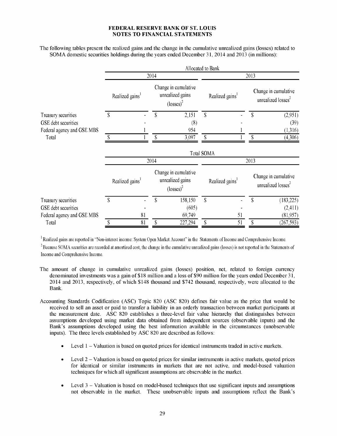The following tables present the realized gains and the change in the cumulative unrealized gains (losses) related to SOMA domestic securities holdings during the years ended December 31, 2014 and 2013 (in millions):

|                            |    |                             |      |                                                                         | Allocated to Bank           |    |      |                                                        |
|----------------------------|----|-----------------------------|------|-------------------------------------------------------------------------|-----------------------------|----|------|--------------------------------------------------------|
|                            |    |                             | 2014 |                                                                         |                             |    | 2013 |                                                        |
|                            |    | Realized gains <sup>1</sup> |      | Change in cumulative<br>unrealized gains<br>$\left($ losses $\right)^2$ | Realized gains <sup>1</sup> |    |      | Change in cumulative<br>unrealized losses <sup>2</sup> |
| Treasury securities        | S  |                             | S    | 2,151                                                                   | \$                          |    | \$   | (2,951)                                                |
| GSE debt securities        |    |                             |      | (8)                                                                     |                             |    |      | (39)                                                   |
| Federal agency and GSE MBS |    |                             |      | 954                                                                     |                             |    |      | (1,316)                                                |
| Total                      | S  |                             |      | 3,097                                                                   | \$                          |    |      | (4,306)                                                |
|                            |    |                             |      |                                                                         | <b>Total SOMA</b>           |    |      |                                                        |
|                            |    |                             | 2014 |                                                                         |                             |    | 2013 |                                                        |
|                            |    | Realized gains <sup>1</sup> |      | Change in cumulative<br>unrealized gains<br>$\left($ losses $\right)^2$ | Realized gains <sup>1</sup> |    |      | Change in cumulative<br>unrealized losses <sup>2</sup> |
| Treasury securities        | S  |                             | ς    | 158,150                                                                 | $\mathbf S$                 |    | S    | (183, 225)                                             |
| GSE debt securities        |    |                             |      | (605)                                                                   |                             |    |      | (2,411)                                                |
| Federal agency and GSE MBS |    | 81                          |      | 69,749                                                                  |                             | 51 |      | (81,957)                                               |
| Total                      | \$ | 81                          | \$   | 227,294                                                                 | \$                          | 51 | \$   | (267, 593)                                             |

<sup>1</sup> Realized gains are reported in "Non-interest income: System Open Market Account" in the Statements of Income and Comprehensive Income.

<sup>2</sup>**Because SOMA securities are recorded at amortized cost, the change in the cumulative unrealized gains (losses) is not reported in the Statements of** Income and Comprehensive Income.

- The amount of change in cumulative unrealized gains (losses) position, net, related to foreign currency denominated investments was a gain of \$18 million and a loss of \$90 million for the years ended December 31, 2014 and 2013, respectively, of which \$148 thousand and \$742 thousand, respectively, were allocated to the Bank.
- Accounting Standards Codification (ASC) Topic 820 (ASC 820) defines fair value as the price that would be received to sell an asset or paid to transfer a liability in an orderly transaction between market participants at the measurement date. ASC 820 establishes a three-level fair value hierarchy that distinguishes between assumptions developed using market data obtained from independent sources (observable inputs) and the Bank's assumptions developed using the best information available in the circumstances (unobservable inputs). The three levels established by ASC 820 are described as follows:
	- Level 1 Valuation is based on quoted prices for identical instruments traded in active markets.
	- Level  $2 -$  Valuation is based on quoted prices for similar instruments in active markets, quoted prices for identical or similar instruments in markets that are not active, and model-based valuation techniques for which all significant assumptions are observable in the market.
	- Level 3 Valuation is based on model-based techniques that use significant inputs and assumptions not observable in the market. These unobservable inputs and assumptions reflect the Bank's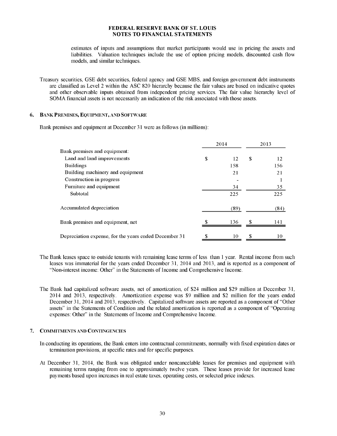estimates of inputs and assumptions that market participants would use in pricing the assets and liabilities. Valuation techniques include the use of option pricing models, discounted cash flow models, and similar techniques.

Treasury securities, GSE debt securities, federal agency and GSE MBS, and foreign government debt instruments are classified as Level 2 within the ASC 820 hierarchy because the fair values are based on indicative quotes and other observable inputs obtained from independent pricing services. The fair value hierarchy level of SOMA financial assets is not necessarily an indication of the risk associated with those assets.

#### **6. BANK PREMISES, EQUIPMENT, AND SOFTWARE**

Bank premises and equipment at December 31 were as follows (in millions):

|                                                       | 2014     |    | 2013 |
|-------------------------------------------------------|----------|----|------|
| Bank premises and equipment:                          |          |    |      |
| Land and land improvements                            | \$<br>12 | \$ | 12   |
| <b>Buildings</b>                                      | 158      |    | 156  |
| Building machinery and equipment                      | 21       |    | 21   |
| Construction in progress                              |          |    |      |
| Furniture and equipment                               | 34       |    | 35   |
| Subtotal                                              | 225      |    | 225  |
| Accumulated depreciation                              | (89)     |    | (84) |
| Bank premises and equipment, net                      | 136      | ፍ  | 141  |
| Depreciation expense, for the years ended December 31 | 10       | \$ | 10   |

- The Bank leases space to outside tenants with remaining lease terms of less than 1 year. Rental income from such leases was immaterial for the years ended December 31, 2014 and 2013, and is reported as a component of "Non-interest income: Other" in the Statements of Income and Comprehensive Income.
- The Bank had capitalized software assets, net of amortization, of \$24 million and \$29 million at December 31, 2014 and 2013, respectively. Amortization expense was \$9 million and \$2 million for the years ended December 31, 2014 and 2013, respectively. Capitalized software assets are reported as a component of "Other assets" in the Statements of Condition and the related amortization is reported as a component of "Operating expenses: Other" in the Statements of Income and Comprehensive Income.

#### 7. COMMITMENTS AND CONTINGENCIES

- In conducting its operations, the Bank enters into contractual commitments, normally with fixed expiration dates or termination provisions, at specific rates and for specific purposes.
- At December 31, 2014, the Bank was obligated under noncancelable leases for premises and equipment with remaining terms ranging from one to approximately twelve years. These leases provide for increased lease payments based upon increases in real estate taxes, operating costs, or selected price indexes.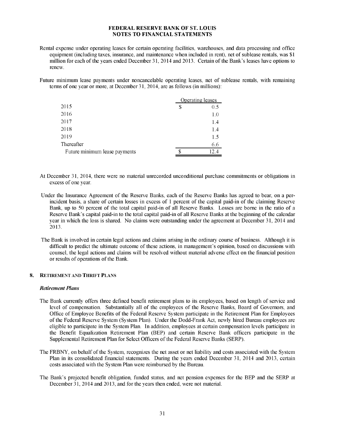- Rental expense under operating leases for certain operating facilities, warehouses, and data processing and office equipment (including taxes, insurance, and maintenance when included in rent), net of sublease rentals, was \$1 million for each of the years ended December 31, 2014 and 2013. Certain of the Bank's leases have options to renew.
- Future minimum lease payments under noncancelable operating leases, net of sublease rentals, with remaining terms of one year or more, at December 31, 2014, are as follows (in millions):

|                               | Operating leases |
|-------------------------------|------------------|
| 2015                          | \$<br>0.5        |
| 2016                          | 1.0              |
| 2017                          | 1.4              |
| 2018                          | 1.4              |
| 2019                          | 1.5              |
| Thereafter                    | 6.6              |
| Future minimum lease payments | 12.4             |

- At December 31, 2014, there were no material unrecorded unconditional purchase commitments or obligations in excess of one year.
- Under the Insurance Agreement of the Reserve Banks, each of the Reserve Banks has agreed to bear, on a perincident basis, a share of certain losses in excess of 1 percent of the capital paid-in of the claiming Reserve Bank, up to 50 percent of the total capital paid-in of all Reserve Banks. Losses are borne in the ratio of a Reserve Bank's capital paid-in to the total capital paid-in of all Reserve Banks at the beginning of the calendar year in which the loss is shared. No claims were outstanding under the agreement at December 31, 2014 and 2013.
- The Bank is involved in certain legal actions and claims arising in the ordinary course of business. Although it is difficult to predict the ultimate outcome of these actions, in management's opinion, based on discussions with counsel, the legal actions and claims will be resolved without material adverse effect on the financial position or results of operations of the Bank.

#### **8. RETIREMENT AND THRIFT PLANS**

#### *Retirement Plans*

- The Bank currently offers three defined benefit retirement plans to its employees, based on length of service and level of compensation. Substantially all of the employees of the Reserve Banks, Board of Governors, and Office of Employee Benefits of the Federal Reserve System participate in the Retirement Plan for Employees of the Federal Reserve System (System Plan). Under the Dodd-Frank Act, newly hired Bureau employees are eligible to participate in the System Plan. In addition, employees at certain compensation levels participate in the Benefit Equalization Retirement Plan (BEP) and certain Reserve Bank officers participate in the Supplemental Retirement Plan for Select Officers of the Federal Reserve Banks (SERP).
- The FRBNY, on behalf of the System, recognizes the net asset or net liability and costs associated with the System Plan in its consolidated financial statements. During the years ended December 31, 2014 and 2013, certain costs associated with the System Plan were reimbursed by the Bureau.
- The Bank's projected benefit obligation, funded status, and net pension expenses for the BEP and the SERP at December 31, 2014 and 2013, and for the years then ended, were not material.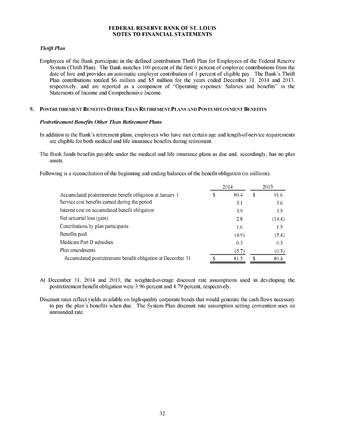#### *Thrift Plan*

Employees of the Bank participate in the defined contribution Thrift Plan for Employees of the Federal Reserve System (Thrift Plan). The Bank matches 100 percent of the first 6 percent of employee contributions from the date of hire and provides an automatic employer contribution of 1 percent of eligible pay. The Bank's Thrift Plan contributions totaled \$6 million and \$5 million for the years ended December 31, 2014 and 2013, respectively, and are reported as a component of "Operating expenses: Salaries and benefits" in the Statements of Income and Comprehensive Income.

#### **9. POSTRETIREMENT BENEFITS OTHER THAN RETIREMENT PLANS AND POSTEMPLOYMENT BENEFITS**

#### *Postretirement Benefits Other Than Retirement Plans*

- In addition to the Bank's retirement plans, employees who have met certain age and length-of-service requirements are eligible for both medical and life insurance benefits during retirement.
- The Bank funds benefits payable under the medical and life insurance plans as due and, accordingly, has no plan assets.

Following is a reconciliation of the beginning and ending balances of the benefit obligation (in millions):

|                                                              | 2014       |    | 2013   |
|--------------------------------------------------------------|------------|----|--------|
| Accumulated postretirement benefit obligation at January 1   | \$<br>80.4 | \$ | 91.6   |
| Service cost benefits earned during the period               | 3.1        |    | 3.6    |
| Interest cost on accumulated benefit obligation              | 3.9        |    | 3.5    |
| Net actuarial loss (gain)                                    | 2.8        |    | (14.4) |
| Contributions by plan participants                           | 1.6        |    | 1.5    |
| Benefits paid                                                | (4.9)      |    | (5.4)  |
| Medicare Part D subsidies                                    | 0.3        |    | 0.3    |
| Plan amendments                                              | (5.7)      |    | (0.3)  |
| Accumulated postretirement benefit obligation at December 31 | 81.5       | S  | 80.4   |

- At December 31, 2014 and 2013, the weighted-average discount rate assumptions used in developing the postretirement benefit obligation were 3.96 percent and 4.79 percent, respectively.
- Discount rates reflect yields available on high-quality corporate bonds that would generate the cash flows necessary to pay the plan's benefits when due. The System Plan discount rate assumption setting convention uses an unrounded rate.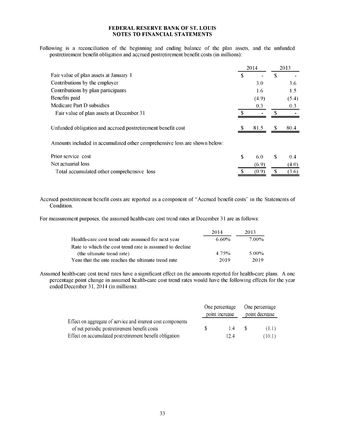Following is a reconciliation of the beginning and ending balance of the plan assets, and the unfunded postretirement benefit obligation and accrued postretirement benefit costs (in millions):

|                                                             |    | 2014  |   | 2013  |
|-------------------------------------------------------------|----|-------|---|-------|
| Fair value of plan assets at January 1                      | S. |       | S |       |
| Contributions by the employer                               |    | 3.0   |   | 3.6   |
| Contributions by plan participants                          |    | 1.6   |   | 1.5   |
| Benefits paid                                               |    | (4.9) |   | (5.4) |
| Medicare Part D subsidies                                   |    | 0.3   |   | 0.3   |
| Fair value of plan assets at December 31                    |    |       |   |       |
|                                                             |    |       |   |       |
| Unfunded obligation and accrued postretirement benefit cost |    | 81.5  |   | 80.4  |

Amounts included in accumulated other comprehensive loss are shown below:

| Prior service cost                         | -60   | - \$ | -04   |
|--------------------------------------------|-------|------|-------|
| Net actuarial loss                         | (6.9) |      | (4.0) |
| Total accumulated other comprehensive loss | (0.9) |      | (3.6) |
|                                            |       |      |       |

Accrued postretirement benefit costs are reported as a component of "Accrued benefit costs" in the Statements of Condition.

For measurement purposes, the assumed health-care cost trend rates at December 31 are as follows:

|                                                         | 2014  | 2013  |
|---------------------------------------------------------|-------|-------|
| Health-care cost trend rate assumed for next year       | 6.60% | 7.00% |
| Rate to which the cost trend rate is assumed to decline |       |       |
| (the ultimate trend rate)                               | 4.75% | 5.00% |
| Year that the rate reaches the ultimate trend rate      | 2019  | 2019  |

Assumed health-care cost trend rates have a significant effect on the amounts reported for health-care plans. A one percentage point change in assumed health-care cost trend rates would have the following effects for the year ended December 31, 2014 (in millions):

|                                                             |                | One percentage |                | One percentage |
|-------------------------------------------------------------|----------------|----------------|----------------|----------------|
|                                                             | point increase |                | point decrease |                |
| Effect on aggregate of service and interest cost components |                |                |                |                |
| of net periodic postretirement benefit costs                |                | 14             | - 8            | (1.1)          |
| Effect on accumulated postretirement benefit obligation     |                | 12.4           |                | (10.1)         |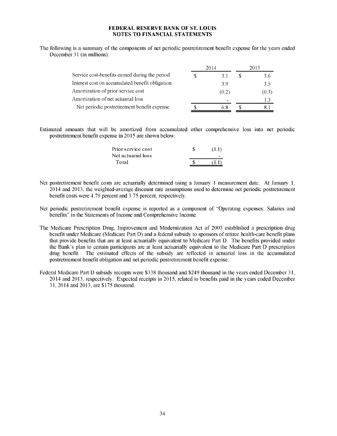The following is a summary of the components of net periodic postretirement benefit expense for the years ended December 31 (in millions):

|                                                 | 2014  | 2013 |       |  |
|-------------------------------------------------|-------|------|-------|--|
| Service cost-benefits earned during the period  | 31    |      | 3.6   |  |
| Interest cost on accumulated benefit obligation | 39    |      | 35    |  |
| Amortization of prior service cost              | (0.2) |      | (0.3) |  |
| Amortization of net actuarial loss              |       |      | 13    |  |
| Net periodic postretirement benefit expense     | 68    |      |       |  |

Estimated amounts that will be amortized from accumulated other comprehensive loss into net periodic postretirement benefit expense in 2015 are shown below:

| Prior service cost | (1.1) |
|--------------------|-------|
| Net actuarial loss |       |
| Total              | 71 D  |

- Net postretirement benefit costs are actuarially determined using a January 1 measurement date. At January 1, 2014 and 2013, the weighted-average discount rate assumptions used to determine net periodic postretirement benefit costs were 4.79 percent and 3.75 percent, respectively.
- Net periodic postretirement benefit expense is reported as a component of "Operating expenses: Salaries and benefits" in the Statements of Income and Comprehensive Income.
- The Medicare Prescription Drug, Improvement and Modernization Act of 2003 established a prescription drug benefit under Medicare (Medicare Part D) and a federal subsidy to sponsors of retiree health-care benefit plans that provide benefits that are at least actuarially equivalent to Medicare Part D. The benefits provided under the Bank's plan to certain participants are at least actuarially equivalent to the Medicare Part D prescription drug benefit. The estimated effects of the subsidy are reflected in actuarial loss in the accumulated postretirement benefit obligation and net periodic postretirement benefit expense.
- Federal Medicare Part D subsidy receipts were \$338 thousand and \$249 thousand in the years ended December 31, 2014 and 2013, respectively. Expected receipts in 2015, related to benefits paid in the years ended December 31, 2014 and 2013, are \$175 thousand.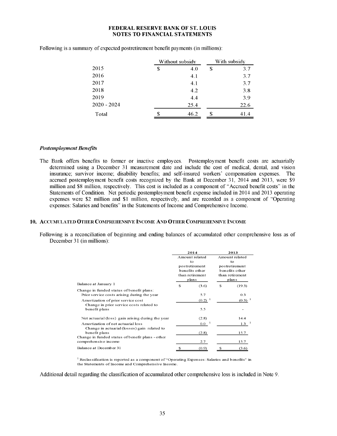|               |    | Without subsidy | With subsidy |      |
|---------------|----|-----------------|--------------|------|
| 2015          | \$ | 4.0             | \$           | 3.7  |
| 2016          |    | 4.1             |              | 3.7  |
| 2017          |    | 4.1             |              | 3.7  |
| 2018          |    | 4.2             |              | 3.8  |
| 2019          |    | 4.4             |              | 3.9  |
| $2020 - 2024$ |    | 25.4            |              | 22.6 |
| Total         | S  | 46.2            | S            | 41.4 |

Following is a summary of expected postretirement benefit payments (in millions):

#### *Postemployment Benefits*

The Bank offers benefits to former or inactive employees. Postemployment benefit costs are actuarially determined using a December 31 measurement date and include the cost of medical, dental, and vision insurance; survivor income; disability benefits; and self-insured workers' compensation expenses. The accrued postemployment benefit costs recognized by the Bank at December 31, 2014 and 2013, were \$9 million and \$8 million, respectively. This cost is included as a component of "Accrued benefit costs" in the Statements of Condition. Net periodic postemployment benefit expense included in 2014 and 2013 operating expenses were \$2 million and \$1 million, respectively, and are recorded as a component of "Operating expenses: Salaries and benefits" in the Statements of Income and Comprehensive Income.

#### **10. ACCUMULATED OTHER COMPREHENSIVE INCOME AND OTHER COMPREHENSIVE INCOME**

Following is a reconciliation of beginning and ending balances of accumulated other comprehensive loss as of December 31 (in millions):

|                                                   | 2014                                                                                 |              | 2013                                       |              |  |
|---------------------------------------------------|--------------------------------------------------------------------------------------|--------------|--------------------------------------------|--------------|--|
|                                                   | Amount related<br>to<br>postretirement<br>benefits other<br>than retirement<br>plans |              | Amount related<br>to<br>postretirement     |              |  |
|                                                   |                                                                                      |              |                                            |              |  |
|                                                   |                                                                                      |              |                                            |              |  |
|                                                   |                                                                                      |              | benefits other<br>than retirement<br>plans |              |  |
|                                                   |                                                                                      |              |                                            |              |  |
|                                                   |                                                                                      |              |                                            |              |  |
| Balance at January 1                              | S                                                                                    | (3.6)        | $\mathbf{s}$                               | (19.3)       |  |
| Change in funded status of benefit plans:         |                                                                                      |              |                                            |              |  |
| Prior service costs arising during the year       |                                                                                      | 5.7          |                                            | 0.3          |  |
| Amortization of prior service cost                |                                                                                      | $(0.2)^{-1}$ |                                            | $(0.3)^{-1}$ |  |
| Change in prior service costs related to          |                                                                                      |              |                                            |              |  |
| benefit plans                                     |                                                                                      | 5.5          |                                            |              |  |
| Net actuarial (loss) gain arising during the year |                                                                                      | (2.8)        |                                            | 14.4         |  |
| Amortization of net actuarial loss                |                                                                                      | $0.0^{-1}$   |                                            | 1.3          |  |
| Change in actuarial (losses) gain related to      |                                                                                      |              |                                            |              |  |
| benefit plans                                     |                                                                                      | (2.8)        |                                            | 15.7         |  |
| Change in funded status of benefit plans - other  |                                                                                      |              |                                            |              |  |
| comprehensive income                              |                                                                                      | 2.7          |                                            | 15.7         |  |
| Balance at December 31                            | S                                                                                    | (0.9)        | £                                          | (3.6)        |  |

<sup>1</sup> Reclassification is reported as a component of "Operating Expenses: Salaries and benefits" in the Statements of Income and Comprehensive Income.

Additional detail regarding the classification of accumulated other comprehensive loss is included in Note 9.